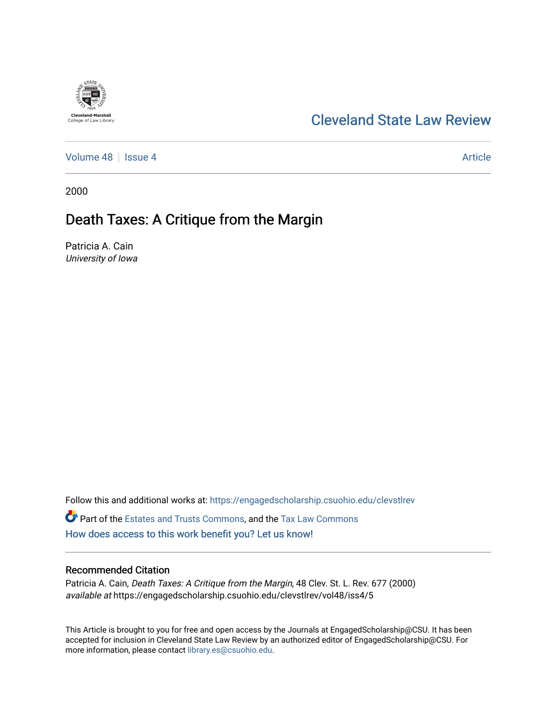# [Cleveland State Law Review](https://engagedscholarship.csuohio.edu/clevstlrev)

[Volume 48](https://engagedscholarship.csuohio.edu/clevstlrev/vol48) | [Issue 4](https://engagedscholarship.csuohio.edu/clevstlrev/vol48/iss4) Article

2000

**Cleveland-Marshall**<br>College of Law Library

# Death Taxes: A Critique from the Margin

Patricia A. Cain University of Iowa

Follow this and additional works at: [https://engagedscholarship.csuohio.edu/clevstlrev](https://engagedscholarship.csuohio.edu/clevstlrev?utm_source=engagedscholarship.csuohio.edu%2Fclevstlrev%2Fvol48%2Fiss4%2F5&utm_medium=PDF&utm_campaign=PDFCoverPages) Part of the [Estates and Trusts Commons,](http://network.bepress.com/hgg/discipline/906?utm_source=engagedscholarship.csuohio.edu%2Fclevstlrev%2Fvol48%2Fiss4%2F5&utm_medium=PDF&utm_campaign=PDFCoverPages) and the [Tax Law Commons](http://network.bepress.com/hgg/discipline/898?utm_source=engagedscholarship.csuohio.edu%2Fclevstlrev%2Fvol48%2Fiss4%2F5&utm_medium=PDF&utm_campaign=PDFCoverPages)  [How does access to this work benefit you? Let us know!](http://library.csuohio.edu/engaged/)

# Recommended Citation

Patricia A. Cain, Death Taxes: A Critique from the Margin, 48 Clev. St. L. Rev. 677 (2000) available at https://engagedscholarship.csuohio.edu/clevstlrev/vol48/iss4/5

This Article is brought to you for free and open access by the Journals at EngagedScholarship@CSU. It has been accepted for inclusion in Cleveland State Law Review by an authorized editor of EngagedScholarship@CSU. For more information, please contact [library.es@csuohio.edu](mailto:library.es@csuohio.edu).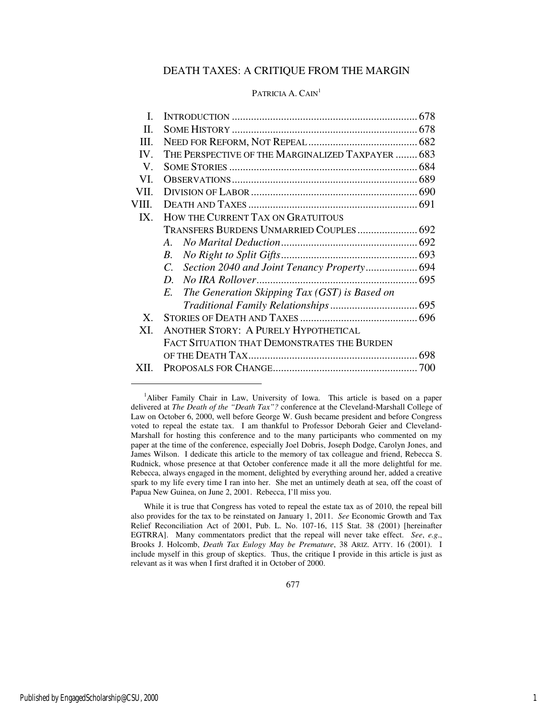# DEATH TAXES: A CRITIQUE FROM THE MARGIN

### PATRICIA A. CAIN<sup>1</sup>

| L.      |                                                               |  |  |  |
|---------|---------------------------------------------------------------|--|--|--|
| H.      |                                                               |  |  |  |
| III.    |                                                               |  |  |  |
| IV.     | THE PERSPECTIVE OF THE MARGINALIZED TAXPAYER  683             |  |  |  |
| V.      |                                                               |  |  |  |
| VI.     |                                                               |  |  |  |
| VII.    |                                                               |  |  |  |
| VIII.   |                                                               |  |  |  |
| IX.     | HOW THE CURRENT TAX ON GRATUITOUS                             |  |  |  |
|         | TRANSFERS BURDENS UNMARRIED COUPLES 692                       |  |  |  |
|         | $\bm{A}$                                                      |  |  |  |
|         | $B_{-}$                                                       |  |  |  |
|         | Section 2040 and Joint Tenancy Property 694<br>$\overline{C}$ |  |  |  |
|         | D.                                                            |  |  |  |
|         | The Generation Skipping Tax (GST) is Based on<br>E.           |  |  |  |
|         |                                                               |  |  |  |
| $X_{-}$ |                                                               |  |  |  |
| XI.     | <b>ANOTHER STORY: A PURELY HYPOTHETICAL</b>                   |  |  |  |
|         | FACT SITUATION THAT DEMONSTRATES THE BURDEN                   |  |  |  |
|         |                                                               |  |  |  |
| XII.    |                                                               |  |  |  |

While it is true that Congress has voted to repeal the estate tax as of 2010, the repeal bill also provides for the tax to be reinstated on January 1, 2011. *See* Economic Growth and Tax Relief Reconciliation Act of 2001, Pub. L. No. 107-16, 115 Stat. 38 (2001) [hereinafter EGTRRA]. Many commentators predict that the repeal will never take effect. *See*, *e.g*., Brooks J. Holcomb, *Death Tax Eulogy May be Premature*, 38 ARIZ. ATTY. 16 (2001). I include myself in this group of skeptics. Thus, the critique I provide in this article is just as relevant as it was when I first drafted it in October of 2000.

<sup>&</sup>lt;sup>1</sup>Aliber Family Chair in Law, University of Iowa. This article is based on a paper delivered at *The Death of the "Death Tax"?* conference at the Cleveland-Marshall College of Law on October 6, 2000, well before George W. Gush became president and before Congress voted to repeal the estate tax. I am thankful to Professor Deborah Geier and Cleveland-Marshall for hosting this conference and to the many participants who commented on my paper at the time of the conference, especially Joel Dobris, Joseph Dodge, Carolyn Jones, and James Wilson. I dedicate this article to the memory of tax colleague and friend, Rebecca S. Rudnick, whose presence at that October conference made it all the more delightful for me. Rebecca, always engaged in the moment, delighted by everything around her, added a creative spark to my life every time I ran into her. She met an untimely death at sea, off the coast of Papua New Guinea, on June 2, 2001. Rebecca, I'll miss you.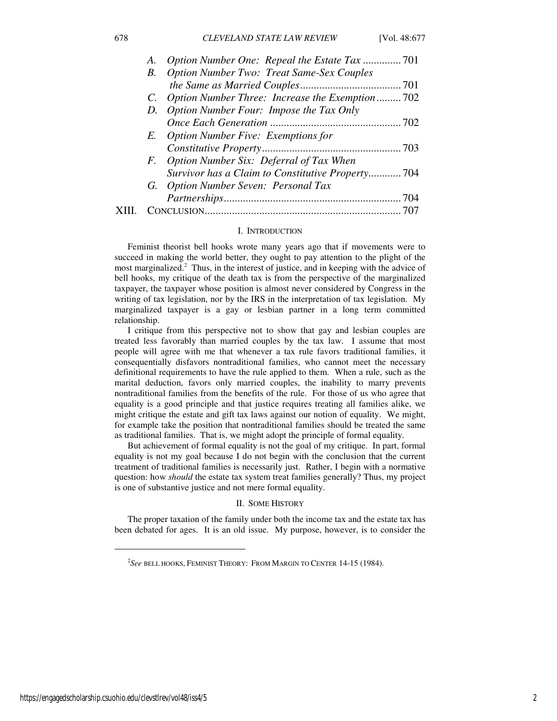| A. | Option Number One: Repeal the Estate Tax 701     |                                                                                                                                                                                                                                |
|----|--------------------------------------------------|--------------------------------------------------------------------------------------------------------------------------------------------------------------------------------------------------------------------------------|
| B. | <b>Option Number Two: Treat Same-Sex Couples</b> |                                                                                                                                                                                                                                |
|    |                                                  |                                                                                                                                                                                                                                |
|    |                                                  |                                                                                                                                                                                                                                |
|    |                                                  |                                                                                                                                                                                                                                |
|    |                                                  |                                                                                                                                                                                                                                |
|    |                                                  |                                                                                                                                                                                                                                |
|    |                                                  |                                                                                                                                                                                                                                |
|    |                                                  |                                                                                                                                                                                                                                |
|    | Survivor has a Claim to Constitutive Property704 |                                                                                                                                                                                                                                |
|    |                                                  |                                                                                                                                                                                                                                |
|    |                                                  | . 704                                                                                                                                                                                                                          |
|    |                                                  |                                                                                                                                                                                                                                |
|    |                                                  | C. Option Number Three: Increase the Exemption702<br>D. Option Number Four: Impose the Tax Only<br>E. Option Number Five: Exemptions for<br>F. Option Number Six: Deferral of Tax When<br>G. Option Number Seven: Personal Tax |

#### I. INTRODUCTION

Feminist theorist bell hooks wrote many years ago that if movements were to succeed in making the world better, they ought to pay attention to the plight of the most marginalized.<sup>2</sup> Thus, in the interest of justice, and in keeping with the advice of bell hooks, my critique of the death tax is from the perspective of the marginalized taxpayer, the taxpayer whose position is almost never considered by Congress in the writing of tax legislation, nor by the IRS in the interpretation of tax legislation. My marginalized taxpayer is a gay or lesbian partner in a long term committed relationship.

I critique from this perspective not to show that gay and lesbian couples are treated less favorably than married couples by the tax law. I assume that most people will agree with me that whenever a tax rule favors traditional families, it consequentially disfavors nontraditional families, who cannot meet the necessary definitional requirements to have the rule applied to them. When a rule, such as the marital deduction, favors only married couples, the inability to marry prevents nontraditional families from the benefits of the rule. For those of us who agree that equality is a good principle and that justice requires treating all families alike, we might critique the estate and gift tax laws against our notion of equality. We might, for example take the position that nontraditional families should be treated the same as traditional families. That is, we might adopt the principle of formal equality.

But achievement of formal equality is not the goal of my critique. In part, formal equality is not my goal because I do not begin with the conclusion that the current treatment of traditional families is necessarily just. Rather, I begin with a normative question: how *should* the estate tax system treat families generally? Thus, my project is one of substantive justice and not mere formal equality.

#### II. SOME HISTORY

The proper taxation of the family under both the income tax and the estate tax has been debated for ages. It is an old issue. My purpose, however, is to consider the

j

<sup>2</sup> *See* BELL HOOKS, FEMINIST THEORY: FROM MARGIN TO CENTER 14-15 (1984).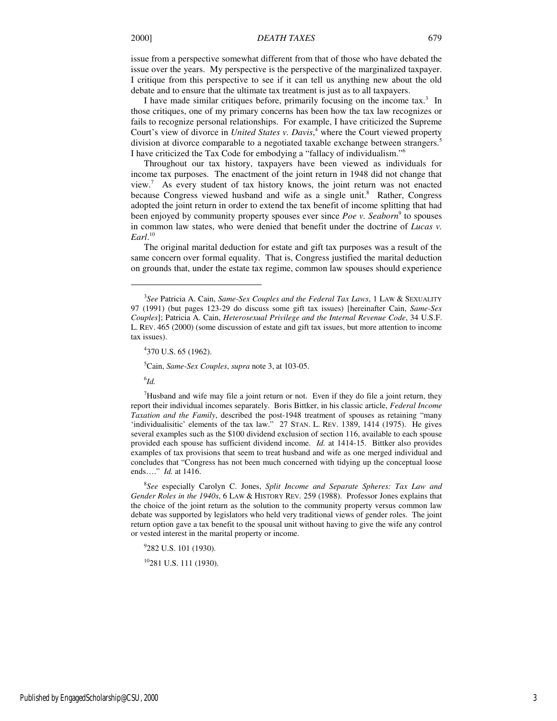#### 2000] *DEATH TAXES* 679

issue from a perspective somewhat different from that of those who have debated the issue over the years. My perspective is the perspective of the marginalized taxpayer. I critique from this perspective to see if it can tell us anything new about the old debate and to ensure that the ultimate tax treatment is just as to all taxpayers.

I have made similar critiques before, primarily focusing on the income tax.<sup>3</sup> In those critiques, one of my primary concerns has been how the tax law recognizes or fails to recognize personal relationships. For example, I have criticized the Supreme Court's view of divorce in *United States v. Davis*,<sup>4</sup> where the Court viewed property division at divorce comparable to a negotiated taxable exchange between strangers.<sup>5</sup> I have criticized the Tax Code for embodying a "fallacy of individualism."<sup>6</sup>

Throughout our tax history, taxpayers have been viewed as individuals for income tax purposes. The enactment of the joint return in 1948 did not change that view.<sup>7</sup> As every student of tax history knows, the joint return was not enacted because Congress viewed husband and wife as a single unit.<sup>8</sup> Rather, Congress adopted the joint return in order to extend the tax benefit of income splitting that had been enjoyed by community property spouses ever since *Poe v. Seaborn*<sup>9</sup> to spouses in common law states, who were denied that benefit under the doctrine of *Lucas v. Earl*. 10

The original marital deduction for estate and gift tax purposes was a result of the same concern over formal equality. That is, Congress justified the marital deduction on grounds that, under the estate tax regime, common law spouses should experience

4 370 U.S. 65 (1962).

<sup>5</sup>Cain, *Same-Sex Couples*, *supra* note 3, at 103-05.

6 *Id.*

 $\overline{a}$ 

<sup>7</sup>Husband and wife may file a joint return or not. Even if they do file a joint return, they report their individual incomes separately. Boris Bittker, in his classic article, *Federal Income Taxation and the Family*, described the post-1948 treatment of spouses as retaining "many 'individualisitic' elements of the tax law." 27 STAN. L. REV. 1389, 1414 (1975). He gives several examples such as the \$100 dividend exclusion of section 116, available to each spouse provided each spouse has sufficient dividend income. *Id.* at 1414-15. Bittker also provides examples of tax provisions that seem to treat husband and wife as one merged individual and concludes that "Congress has not been much concerned with tidying up the conceptual loose ends…." *Id.* at 1416.

8 *See* especially Carolyn C. Jones, *Split Income and Separate Spheres: Tax Law and Gender Roles in the 1940s*, 6 LAW & HISTORY REV. 259 (1988). Professor Jones explains that the choice of the joint return as the solution to the community property versus common law debate was supported by legislators who held very traditional views of gender roles. The joint return option gave a tax benefit to the spousal unit without having to give the wife any control or vested interest in the marital property or income.

<sup>9</sup>282 U.S. 101 (1930).

 $10$ <sup>10</sup>281 U.S. 111 (1930).

<sup>3</sup> *See* Patricia A. Cain, *Same-Sex Couples and the Federal Tax Laws*, 1 LAW & SEXUALITY 97 (1991) (but pages 123-29 do discuss some gift tax issues) [hereinafter Cain, *Same-Sex Couples*]; Patricia A. Cain, *Heterosexual Privilege and the Internal Revenue Code*, 34 U.S.F. L. REV. 465 (2000) (some discussion of estate and gift tax issues, but more attention to income tax issues).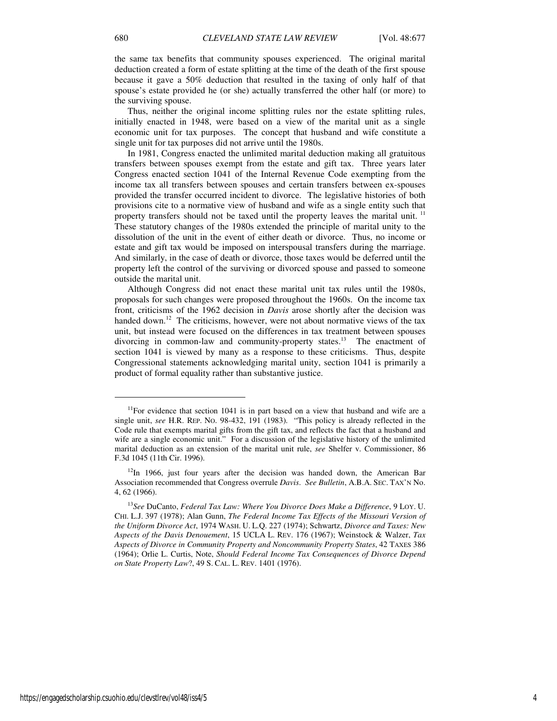the same tax benefits that community spouses experienced. The original marital deduction created a form of estate splitting at the time of the death of the first spouse because it gave a 50% deduction that resulted in the taxing of only half of that spouse's estate provided he (or she) actually transferred the other half (or more) to the surviving spouse.

Thus, neither the original income splitting rules nor the estate splitting rules, initially enacted in 1948, were based on a view of the marital unit as a single economic unit for tax purposes. The concept that husband and wife constitute a single unit for tax purposes did not arrive until the 1980s.

In 1981, Congress enacted the unlimited marital deduction making all gratuitous transfers between spouses exempt from the estate and gift tax. Three years later Congress enacted section 1041 of the Internal Revenue Code exempting from the income tax all transfers between spouses and certain transfers between ex-spouses provided the transfer occurred incident to divorce. The legislative histories of both provisions cite to a normative view of husband and wife as a single entity such that property transfers should not be taxed until the property leaves the marital unit.<sup>11</sup> These statutory changes of the 1980s extended the principle of marital unity to the dissolution of the unit in the event of either death or divorce. Thus, no income or estate and gift tax would be imposed on interspousal transfers during the marriage. And similarly, in the case of death or divorce, those taxes would be deferred until the property left the control of the surviving or divorced spouse and passed to someone outside the marital unit.

Although Congress did not enact these marital unit tax rules until the 1980s, proposals for such changes were proposed throughout the 1960s. On the income tax front, criticisms of the 1962 decision in *Davis* arose shortly after the decision was handed down.<sup>12</sup> The criticisms, however, were not about normative views of the tax unit, but instead were focused on the differences in tax treatment between spouses divorcing in common-law and community-property states.<sup>13</sup> The enactment of section 1041 is viewed by many as a response to these criticisms. Thus, despite Congressional statements acknowledging marital unity, section 1041 is primarily a product of formal equality rather than substantive justice.

 $11$ For evidence that section 1041 is in part based on a view that husband and wife are a single unit, *see* H.R. REP. NO. 98-432, 191 (1983). "This policy is already reflected in the Code rule that exempts marital gifts from the gift tax, and reflects the fact that a husband and wife are a single economic unit." For a discussion of the legislative history of the unlimited marital deduction as an extension of the marital unit rule, *see* Shelfer v. Commissioner, 86 F.3d 1045 (11th Cir. 1996).

 $12$ In 1966, just four years after the decision was handed down, the American Bar Association recommended that Congress overrule *Davis*. *See Bulletin*, A.B.A. SEC. TAX'N No. 4, 62 (1966).

<sup>13</sup>*See* DuCanto, *Federal Tax Law: Where You Divorce Does Make a Difference*, 9 LOY. U. CHI. L.J. 397 (1978); Alan Gunn, *The Federal Income Tax Effects of the Missouri Version of the Uniform Divorce Act*, 1974 WASH. U. L.Q. 227 (1974); Schwartz, *Divorce and Taxes: New Aspects of the Davis Denouement*, 15 UCLA L. REV. 176 (1967); Weinstock & Walzer, *Tax Aspects of Divorce in Community Property and Noncommunity Property States*, 42 TAXES 386 (1964); Orlie L. Curtis, Note, *Should Federal Income Tax Consequences of Divorce Depend on State Property Law*?, 49 S. CAL. L. REV. 1401 (1976).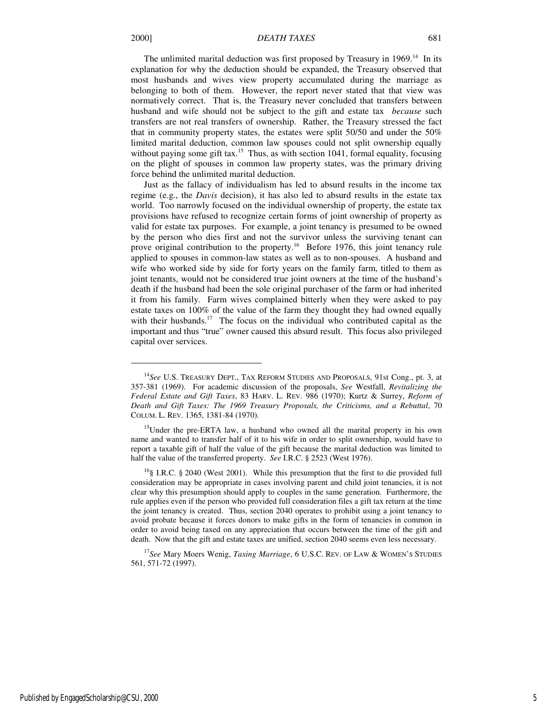The unlimited marital deduction was first proposed by Treasury in 1969.<sup>14</sup> In its explanation for why the deduction should be expanded, the Treasury observed that most husbands and wives view property accumulated during the marriage as belonging to both of them. However, the report never stated that that view was normatively correct. That is, the Treasury never concluded that transfers between husband and wife should not be subject to the gift and estate tax *because* such transfers are not real transfers of ownership. Rather, the Treasury stressed the fact that in community property states, the estates were split 50/50 and under the 50% limited marital deduction, common law spouses could not split ownership equally without paying some gift tax.<sup>15</sup> Thus, as with section 1041, formal equality, focusing on the plight of spouses in common law property states, was the primary driving force behind the unlimited marital deduction.

Just as the fallacy of individualism has led to absurd results in the income tax regime (e.g., the *Davis* decision), it has also led to absurd results in the estate tax world. Too narrowly focused on the individual ownership of property, the estate tax provisions have refused to recognize certain forms of joint ownership of property as valid for estate tax purposes. For example, a joint tenancy is presumed to be owned by the person who dies first and not the survivor unless the surviving tenant can prove original contribution to the property.<sup>16</sup> Before 1976, this joint tenancy rule applied to spouses in common-law states as well as to non-spouses. A husband and wife who worked side by side for forty years on the family farm, titled to them as joint tenants, would not be considered true joint owners at the time of the husband's death if the husband had been the sole original purchaser of the farm or had inherited it from his family. Farm wives complained bitterly when they were asked to pay estate taxes on 100% of the value of the farm they thought they had owned equally with their husbands.<sup>17</sup> The focus on the individual who contributed capital as the important and thus "true" owner caused this absurd result. This focus also privileged capital over services.

<sup>&</sup>lt;sup>14</sup>See U.S. TREASURY DEPT., TAX REFORM STUDIES AND PROPOSALS, 91st Cong., pt. 3, at 357-381 (1969). For academic discussion of the proposals, *See* Westfall, *Revitalizing the Federal Estate and Gift Taxes*, 83 HARV. L. REV. 986 (1970); Kurtz & Surrey, *Reform of Death and Gift Taxes: The 1969 Treasury Proposals, the Criticisms, and a Rebuttal*, 70 COLUM. L. REV. 1365, 1381-84 (1970).

<sup>&</sup>lt;sup>15</sup>Under the pre-ERTA law, a husband who owned all the marital property in his own name and wanted to transfer half of it to his wife in order to split ownership, would have to report a taxable gift of half the value of the gift because the marital deduction was limited to half the value of the transferred property. *See* I.R.C. § 2523 (West 1976).

<sup>16</sup>§ I.R.C. § 2040 (West 2001). While this presumption that the first to die provided full consideration may be appropriate in cases involving parent and child joint tenancies, it is not clear why this presumption should apply to couples in the same generation. Furthermore, the rule applies even if the person who provided full consideration files a gift tax return at the time the joint tenancy is created. Thus, section 2040 operates to prohibit using a joint tenancy to avoid probate because it forces donors to make gifts in the form of tenancies in common in order to avoid being taxed on any appreciation that occurs between the time of the gift and death. Now that the gift and estate taxes are unified, section 2040 seems even less necessary.

<sup>&</sup>lt;sup>17</sup>See Mary Moers Wenig, *Taxing Marriage*, 6 U.S.C. REV. OF LAW & WOMEN'S STUDIES 561, 571-72 (1997).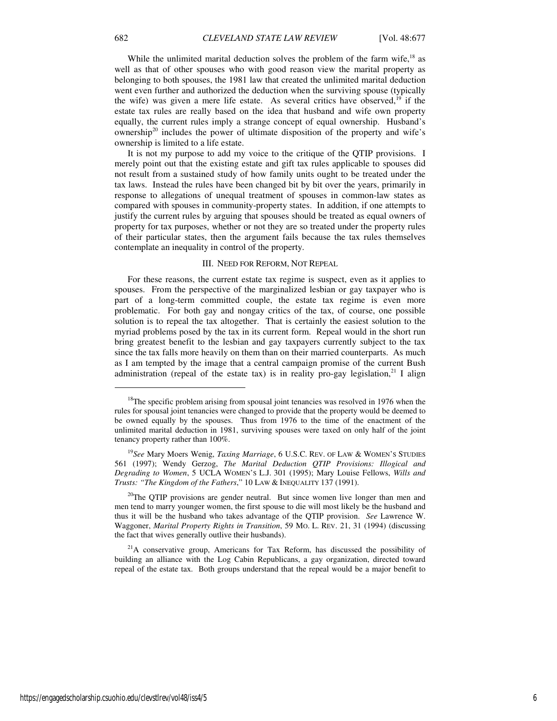While the unlimited marital deduction solves the problem of the farm wife,<sup>18</sup> as well as that of other spouses who with good reason view the marital property as belonging to both spouses, the 1981 law that created the unlimited marital deduction went even further and authorized the deduction when the surviving spouse (typically the wife) was given a mere life estate. As several critics have observed, $19$  if the estate tax rules are really based on the idea that husband and wife own property equally, the current rules imply a strange concept of equal ownership. Husband's ownership<sup>20</sup> includes the power of ultimate disposition of the property and wife's ownership is limited to a life estate.

It is not my purpose to add my voice to the critique of the QTIP provisions. I merely point out that the existing estate and gift tax rules applicable to spouses did not result from a sustained study of how family units ought to be treated under the tax laws. Instead the rules have been changed bit by bit over the years, primarily in response to allegations of unequal treatment of spouses in common-law states as compared with spouses in community-property states. In addition, if one attempts to justify the current rules by arguing that spouses should be treated as equal owners of property for tax purposes, whether or not they are so treated under the property rules of their particular states, then the argument fails because the tax rules themselves contemplate an inequality in control of the property.

#### III. NEED FOR REFORM, NOT REPEAL

For these reasons, the current estate tax regime is suspect, even as it applies to spouses. From the perspective of the marginalized lesbian or gay taxpayer who is part of a long-term committed couple, the estate tax regime is even more problematic. For both gay and nongay critics of the tax, of course, one possible solution is to repeal the tax altogether. That is certainly the easiest solution to the myriad problems posed by the tax in its current form. Repeal would in the short run bring greatest benefit to the lesbian and gay taxpayers currently subject to the tax since the tax falls more heavily on them than on their married counterparts. As much as I am tempted by the image that a central campaign promise of the current Bush administration (repeal of the estate tax) is in reality pro-gay legislation, $^{21}$  I align

<sup>&</sup>lt;sup>18</sup>The specific problem arising from spousal joint tenancies was resolved in 1976 when the rules for spousal joint tenancies were changed to provide that the property would be deemed to be owned equally by the spouses. Thus from 1976 to the time of the enactment of the unlimited marital deduction in 1981, surviving spouses were taxed on only half of the joint tenancy property rather than 100%.

<sup>19</sup>*See* Mary Moers Wenig, *Taxing Marriage*, 6 U.S.C. REV. OF LAW & WOMEN'S STUDIES 561 (1997); Wendy Gerzog, *The Marital Deduction QTIP Provisions: Illogical and Degrading to Women*, 5 UCLA WOMEN'S L.J. 301 (1995); Mary Louise Fellows, *Wills and Trusts: "The Kingdom of the Fathers*," 10 LAW & INEQUALITY 137 (1991).

<sup>&</sup>lt;sup>20</sup>The OTIP provisions are gender neutral. But since women live longer than men and men tend to marry younger women, the first spouse to die will most likely be the husband and thus it will be the husband who takes advantage of the QTIP provision. *See* Lawrence W. Waggoner, *Marital Property Rights in Transition*, 59 MO. L. REV. 21, 31 (1994) (discussing the fact that wives generally outlive their husbands).

<sup>&</sup>lt;sup>21</sup>A conservative group, Americans for Tax Reform, has discussed the possibility of building an alliance with the Log Cabin Republicans, a gay organization, directed toward repeal of the estate tax. Both groups understand that the repeal would be a major benefit to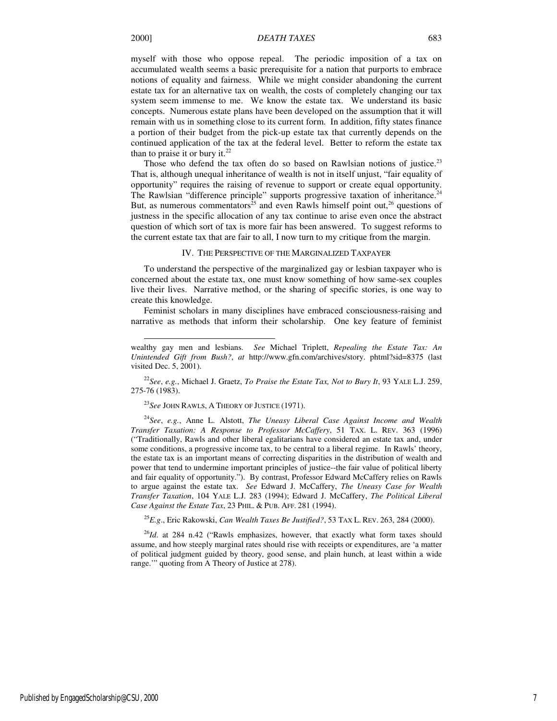l

myself with those who oppose repeal. The periodic imposition of a tax on accumulated wealth seems a basic prerequisite for a nation that purports to embrace notions of equality and fairness. While we might consider abandoning the current estate tax for an alternative tax on wealth, the costs of completely changing our tax system seem immense to me. We know the estate tax. We understand its basic concepts. Numerous estate plans have been developed on the assumption that it will remain with us in something close to its current form. In addition, fifty states finance a portion of their budget from the pick-up estate tax that currently depends on the continued application of the tax at the federal level. Better to reform the estate tax than to praise it or bury it. $^{22}$ 

Those who defend the tax often do so based on Rawlsian notions of justice.<sup>23</sup> That is, although unequal inheritance of wealth is not in itself unjust, "fair equality of opportunity" requires the raising of revenue to support or create equal opportunity. The Rawlsian "difference principle" supports progressive taxation of inheritance.<sup>24</sup> But, as numerous commentators<sup>25</sup> and even Rawls himself point out,<sup>26</sup> questions of justness in the specific allocation of any tax continue to arise even once the abstract question of which sort of tax is more fair has been answered. To suggest reforms to the current estate tax that are fair to all, I now turn to my critique from the margin.

#### IV. THE PERSPECTIVE OF THE MARGINALIZED TAXPAYER

To understand the perspective of the marginalized gay or lesbian taxpayer who is concerned about the estate tax, one must know something of how same-sex couples live their lives. Narrative method, or the sharing of specific stories, is one way to create this knowledge.

Feminist scholars in many disciplines have embraced consciousness-raising and narrative as methods that inform their scholarship. One key feature of feminist

<sup>23</sup>*See* JOHN RAWLS, A THEORY OF JUSTICE (1971).

<sup>24</sup>*See*, *e.g.*, Anne L. Alstott, *The Uneasy Liberal Case Against Income and Wealth Transfer Taxation: A Response to Professor McCaffery*, 51 TAX. L. REV. 363 (1996) ("Traditionally, Rawls and other liberal egalitarians have considered an estate tax and, under some conditions, a progressive income tax, to be central to a liberal regime. In Rawls' theory, the estate tax is an important means of correcting disparities in the distribution of wealth and power that tend to undermine important principles of justice--the fair value of political liberty and fair equality of opportunity."). By contrast, Professor Edward McCaffery relies on Rawls to argue against the estate tax. *See* Edward J. McCaffery, *The Uneasy Case for Wealth Transfer Taxation*, 104 YALE L.J. 283 (1994); Edward J. McCaffery, *The Political Liberal Case Against the Estate Tax*, 23 PHIL. & PUB. AFF. 281 (1994).

<sup>25</sup>*E.g*., Eric Rakowski, *Can Wealth Taxes Be Justified?*, 53 TAX L. REV. 263, 284 (2000).

<sup>26</sup>Id. at 284 n.42 ("Rawls emphasizes, however, that exactly what form taxes should assume, and how steeply marginal rates should rise with receipts or expenditures, are 'a matter of political judgment guided by theory, good sense, and plain hunch, at least within a wide range.'" quoting from A Theory of Justice at 278).

wealthy gay men and lesbians. *See* Michael Triplett, *Repealing the Estate Tax: An Unintended Gift from Bush?*, *at* http://www.gfn.com/archives/story. phtml?sid=8375 (last visited Dec. 5, 2001).

<sup>22</sup>*See*, *e.g.*, Michael J. Graetz, *To Praise the Estate Tax, Not to Bury It*, 93 YALE L.J. 259, 275-76 (1983).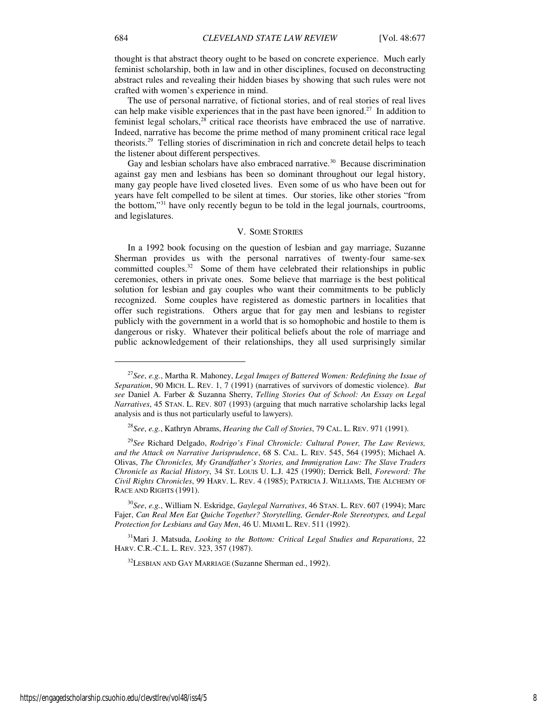thought is that abstract theory ought to be based on concrete experience. Much early feminist scholarship, both in law and in other disciplines, focused on deconstructing abstract rules and revealing their hidden biases by showing that such rules were not crafted with women's experience in mind.

The use of personal narrative, of fictional stories, and of real stories of real lives can help make visible experiences that in the past have been ignored.<sup>27</sup> In addition to feminist legal scholars, $28$  critical race theorists have embraced the use of narrative. Indeed, narrative has become the prime method of many prominent critical race legal theorists.<sup>29</sup> Telling stories of discrimination in rich and concrete detail helps to teach the listener about different perspectives.

Gay and lesbian scholars have also embraced narrative.<sup>30</sup> Because discrimination against gay men and lesbians has been so dominant throughout our legal history, many gay people have lived closeted lives. Even some of us who have been out for years have felt compelled to be silent at times. Our stories, like other stories "from the bottom,"<sup>31</sup> have only recently begun to be told in the legal journals, courtrooms, and legislatures.

#### V. SOME STORIES

In a 1992 book focusing on the question of lesbian and gay marriage, Suzanne Sherman provides us with the personal narratives of twenty-four same-sex committed couples.<sup>32</sup> Some of them have celebrated their relationships in public ceremonies, others in private ones. Some believe that marriage is the best political solution for lesbian and gay couples who want their commitments to be publicly recognized. Some couples have registered as domestic partners in localities that offer such registrations. Others argue that for gay men and lesbians to register publicly with the government in a world that is so homophobic and hostile to them is dangerous or risky. Whatever their political beliefs about the role of marriage and public acknowledgement of their relationships, they all used surprisingly similar

<sup>27</sup>*See*, *e.g.*, Martha R. Mahoney, *Legal Images of Battered Women: Redefining the Issue of Separation*, 90 MICH. L. REV. 1, 7 (1991) (narratives of survivors of domestic violence). *But see* Daniel A. Farber & Suzanna Sherry, *Telling Stories Out of School: An Essay on Legal Narratives*, 45 STAN. L. REV. 807 (1993) (arguing that much narrative scholarship lacks legal analysis and is thus not particularly useful to lawyers).

<sup>28</sup>*See*, *e.g.*, Kathryn Abrams, *Hearing the Call of Stories*, 79 CAL. L. REV. 971 (1991).

<sup>29</sup>*See* Richard Delgado, *Rodrigo's Final Chronicle: Cultural Power, The Law Reviews, and the Attack on Narrative Jurisprudence*, 68 S. CAL. L. REV. 545, 564 (1995); Michael A. Olivas, *The Chronicles, My Grandfather's Stories, and Immigration Law: The Slave Traders Chronicle as Racial History*, 34 ST. LOUIS U. L.J. 425 (1990); Derrick Bell, *Foreword: The Civil Rights Chronicles*, 99 HARV. L. REV. 4 (1985); PATRICIA J. WILLIAMS, THE ALCHEMY OF RACE AND RIGHTS (1991).

<sup>30</sup>*See*, *e.g.*, William N. Eskridge, *Gaylegal Narratives*, 46 STAN. L. REV. 607 (1994); Marc Fajer, *Can Real Men Eat Quiche Together? Storytelling, Gender-Role Stereotypes, and Legal Protection for Lesbians and Gay Men*, 46 U. MIAMI L. REV. 511 (1992).

<sup>31</sup>Mari J. Matsuda, *Looking to the Bottom: Critical Legal Studies and Reparations*, 22 HARV. C.R.-C.L. L. REV. 323, 357 (1987).

<sup>32</sup>LESBIAN AND GAY MARRIAGE (Suzanne Sherman ed., 1992).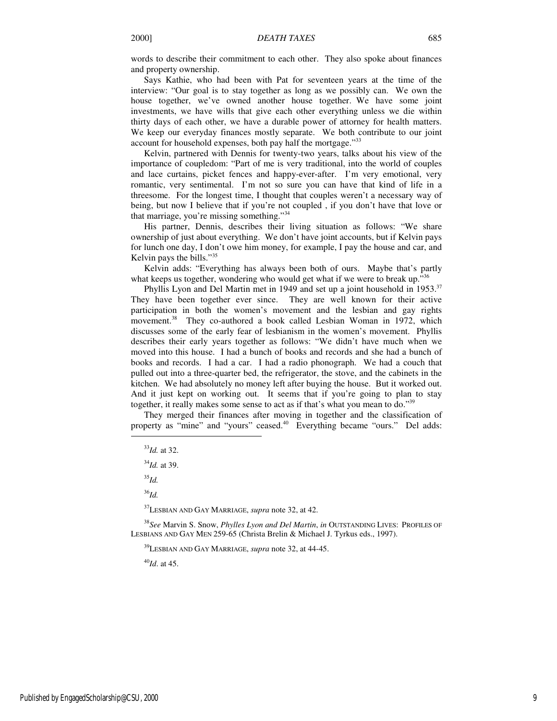words to describe their commitment to each other. They also spoke about finances and property ownership.

Says Kathie, who had been with Pat for seventeen years at the time of the interview: "Our goal is to stay together as long as we possibly can. We own the house together, we've owned another house together. We have some joint investments, we have wills that give each other everything unless we die within thirty days of each other, we have a durable power of attorney for health matters. We keep our everyday finances mostly separate. We both contribute to our joint account for household expenses, both pay half the mortgage."<sup>33</sup>

Kelvin, partnered with Dennis for twenty-two years, talks about his view of the importance of coupledom: "Part of me is very traditional, into the world of couples and lace curtains, picket fences and happy-ever-after. I'm very emotional, very romantic, very sentimental. I'm not so sure you can have that kind of life in a threesome. For the longest time, I thought that couples weren't a necessary way of being, but now I believe that if you're not coupled , if you don't have that love or that marriage, you're missing something."<sup>34</sup>

His partner, Dennis, describes their living situation as follows: "We share ownership of just about everything. We don't have joint accounts, but if Kelvin pays for lunch one day, I don't owe him money, for example, I pay the house and car, and Kelvin pays the bills."<sup>35</sup>

Kelvin adds: "Everything has always been both of ours. Maybe that's partly what keeps us together, wondering who would get what if we were to break up."<sup>36</sup>

Phyllis Lyon and Del Martin met in 1949 and set up a joint household in  $1953.^{37}$ They have been together ever since. They are well known for their active participation in both the women's movement and the lesbian and gay rights movement.<sup>38</sup> They co-authored a book called Lesbian Woman in 1972, which discusses some of the early fear of lesbianism in the women's movement. Phyllis describes their early years together as follows: "We didn't have much when we moved into this house. I had a bunch of books and records and she had a bunch of books and records. I had a car. I had a radio phonograph. We had a couch that pulled out into a three-quarter bed, the refrigerator, the stove, and the cabinets in the kitchen. We had absolutely no money left after buying the house. But it worked out. And it just kept on working out. It seems that if you're going to plan to stay together, it really makes some sense to act as if that's what you mean to do."<sup>39</sup>

They merged their finances after moving in together and the classification of property as "mine" and "yours" ceased.<sup>40</sup> Everything became "ours." Del adds:

<sup>35</sup>*Id.*

 $\overline{a}$ 

<sup>36</sup>*Id.*

<sup>37</sup>LESBIAN AND GAY MARRIAGE, *supra* note 32, at 42.

<sup>38</sup>*See* Marvin S. Snow, *Phylles Lyon and Del Martin*, *in* OUTSTANDING LIVES: PROFILES OF LESBIANS AND GAY MEN 259-65 (Christa Brelin & Michael J. Tyrkus eds., 1997).

<sup>39</sup>LESBIAN AND GAY MARRIAGE, *supra* note 32, at 44-45.

<sup>40</sup>*Id*. at 45.

<sup>33</sup>*Id.* at 32.

<sup>34</sup>*Id.* at 39.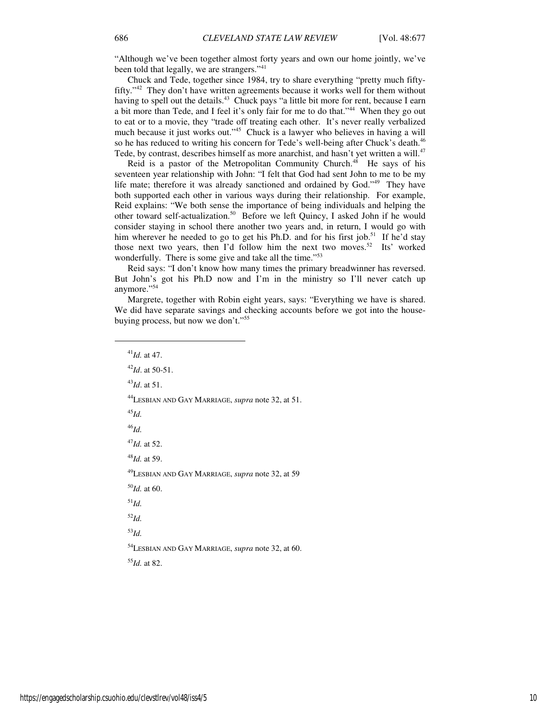"Although we've been together almost forty years and own our home jointly, we've been told that legally, we are strangers."<sup>41</sup>

Chuck and Tede, together since 1984, try to share everything "pretty much fiftyfifty."<sup>42</sup> They don't have written agreements because it works well for them without having to spell out the details.<sup>43</sup> Chuck pays "a little bit more for rent, because I earn a bit more than Tede, and I feel it's only fair for me to do that."<sup>44</sup> When they go out to eat or to a movie, they "trade off treating each other. It's never really verbalized much because it just works out."<sup>45</sup> Chuck is a lawyer who believes in having a will so he has reduced to writing his concern for Tede's well-being after Chuck's death.<sup>46</sup> Tede, by contrast, describes himself as more anarchist, and hasn't yet written a will.<sup>47</sup>

Reid is a pastor of the Metropolitan Community Church.<sup>48</sup> He says of his seventeen year relationship with John: "I felt that God had sent John to me to be my life mate; therefore it was already sanctioned and ordained by God."<sup>49</sup> They have both supported each other in various ways during their relationship. For example, Reid explains: "We both sense the importance of being individuals and helping the other toward self-actualization.<sup>50</sup> Before we left Quincy, I asked John if he would consider staying in school there another two years and, in return, I would go with him wherever he needed to go to get his Ph.D. and for his first job.<sup>51</sup> If he'd stay those next two years, then I'd follow him the next two moves.<sup>52</sup> Its' worked wonderfully. There is some give and take all the time."<sup>53</sup>

Reid says: "I don't know how many times the primary breadwinner has reversed. But John's got his Ph.D now and I'm in the ministry so I'll never catch up anymore."<sup>54</sup>

Margrete, together with Robin eight years, says: "Everything we have is shared. We did have separate savings and checking accounts before we got into the housebuying process, but now we don't."<sup>55</sup>

<sup>41</sup>*Id.* at 47.

 $\overline{a}$ 

<sup>42</sup>*Id*. at 50-51.

<sup>43</sup>*Id*. at 51.

<sup>44</sup>LESBIAN AND GAY MARRIAGE, *supra* note 32, at 51.

<sup>45</sup>*Id.* 

<sup>46</sup>*Id.*

<sup>47</sup>*Id.* at 52.

<sup>48</sup>*Id.* at 59.

<sup>49</sup>LESBIAN AND GAY MARRIAGE, *supra* note 32, at 59

<sup>50</sup>*Id.* at 60.

<sup>51</sup>*Id.*

<sup>52</sup>*Id.*

<sup>53</sup>*Id.* 

<sup>54</sup>LESBIAN AND GAY MARRIAGE, *supra* note 32, at 60.

<sup>55</sup>*Id.* at 82.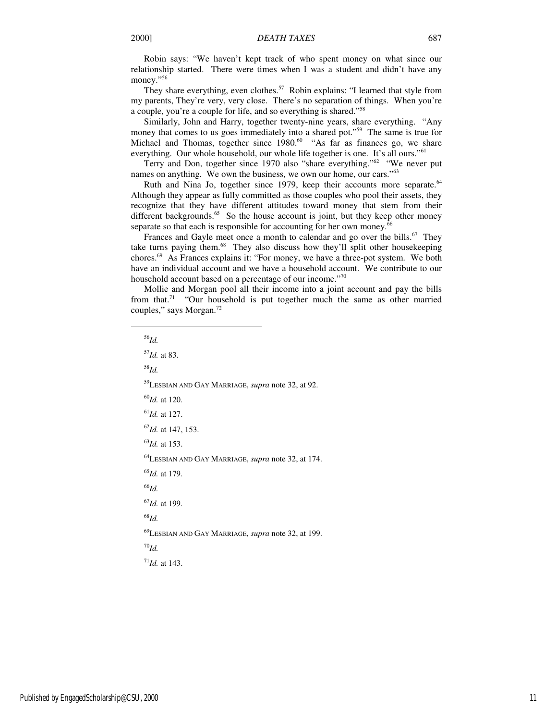Robin says: "We haven't kept track of who spent money on what since our relationship started. There were times when I was a student and didn't have any money."<sup>56</sup>

They share everything, even clothes.<sup>57</sup> Robin explains: "I learned that style from my parents, They're very, very close. There's no separation of things. When you're a couple, you're a couple for life, and so everything is shared."<sup>58</sup>

Similarly, John and Harry, together twenty-nine years, share everything. "Any money that comes to us goes immediately into a shared pot."<sup>59</sup> The same is true for Michael and Thomas, together since  $1980$ .<sup>60</sup> "As far as finances go, we share everything. Our whole household, our whole life together is one. It's all ours."<sup>61</sup>

Terry and Don, together since 1970 also "share everything."<sup>62</sup> "We never put names on anything. We own the business, we own our home, our cars."<sup>63</sup>

Ruth and Nina Jo, together since 1979, keep their accounts more separate.<sup>64</sup> Although they appear as fully committed as those couples who pool their assets, they recognize that they have different attitudes toward money that stem from their different backgrounds.<sup>65</sup> So the house account is joint, but they keep other money separate so that each is responsible for accounting for her own money.<sup>66</sup>

Frances and Gayle meet once a month to calendar and go over the bills.<sup>67</sup> They take turns paying them.<sup>68</sup> They also discuss how they'll split other housekeeping chores.<sup>69</sup> As Frances explains it: "For money, we have a three-pot system. We both have an individual account and we have a household account. We contribute to our household account based on a percentage of our income."<sup>70</sup>

Mollie and Morgan pool all their income into a joint account and pay the bills from that.<sup>71</sup> "Our household is put together much the same as other married couples," says Morgan.<sup>72</sup>

j

<sup>58</sup>*Id.*

<sup>59</sup>LESBIAN AND GAY MARRIAGE, *supra* note 32, at 92.

- <sup>60</sup>*Id.* at 120.
- <sup>61</sup>*Id.* at 127.

<sup>62</sup>*Id.* at 147, 153.

<sup>63</sup>*Id.* at 153.

<sup>64</sup>LESBIAN AND GAY MARRIAGE, *supra* note 32, at 174.

<sup>65</sup>*Id.* at 179.

<sup>66</sup>*Id.*

<sup>67</sup>*Id.* at 199.

<sup>68</sup>*Id.* 

<sup>69</sup>LESBIAN AND GAY MARRIAGE, *supra* note 32, at 199.

<sup>70</sup>*Id.*

<sup>71</sup>*Id.* at 143.

<sup>56</sup>*Id.*

<sup>57</sup>*Id.* at 83.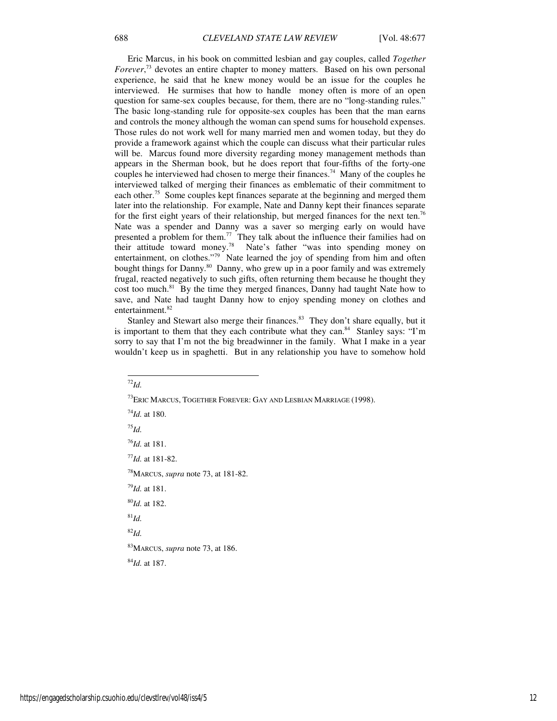Eric Marcus, in his book on committed lesbian and gay couples, called *Together Forever*, <sup>73</sup> devotes an entire chapter to money matters. Based on his own personal experience, he said that he knew money would be an issue for the couples he interviewed. He surmises that how to handle money often is more of an open question for same-sex couples because, for them, there are no "long-standing rules." The basic long-standing rule for opposite-sex couples has been that the man earns and controls the money although the woman can spend sums for household expenses. Those rules do not work well for many married men and women today, but they do provide a framework against which the couple can discuss what their particular rules will be. Marcus found more diversity regarding money management methods than appears in the Sherman book, but he does report that four-fifths of the forty-one couples he interviewed had chosen to merge their finances.<sup>74</sup> Many of the couples he interviewed talked of merging their finances as emblematic of their commitment to each other.<sup>75</sup> Some couples kept finances separate at the beginning and merged them later into the relationship. For example, Nate and Danny kept their finances separate for the first eight years of their relationship, but merged finances for the next ten.<sup>76</sup> Nate was a spender and Danny was a saver so merging early on would have presented a problem for them.<sup>77</sup> They talk about the influence their families had on their attitude toward money.<sup>78</sup> Nate's father "was into spending money on entertainment, on clothes."<sup>79</sup> Nate learned the joy of spending from him and often bought things for Danny.<sup>80</sup> Danny, who grew up in a poor family and was extremely frugal, reacted negatively to such gifts, often returning them because he thought they cost too much.<sup>81</sup> By the time they merged finances, Danny had taught Nate how to save, and Nate had taught Danny how to enjoy spending money on clothes and entertainment.<sup>82</sup>

Stanley and Stewart also merge their finances.<sup>83</sup> They don't share equally, but it is important to them that they each contribute what they can. $84$  Stanley says: "I'm sorry to say that I'm not the big breadwinner in the family. What I make in a year wouldn't keep us in spaghetti. But in any relationship you have to somehow hold

j <sup>72</sup>*Id.*

<sup>74</sup>*Id.* at 180.

<sup>75</sup>*Id.*

<sup>76</sup>*Id.* at 181.

<sup>77</sup>*Id.* at 181-82.

<sup>78</sup>MARCUS, *supra* note 73, at 181-82.

<sup>79</sup>*Id.* at 181.

<sup>80</sup>*Id.* at 182.

 $^{81}$ *Id.* 

 $^{82}$ *Id.* 

<sup>83</sup>MARCUS, *supra* note 73, at 186.

<sup>84</sup>*Id.* at 187.

<sup>73</sup>ERIC MARCUS, TOGETHER FOREVER: GAY AND LESBIAN MARRIAGE (1998).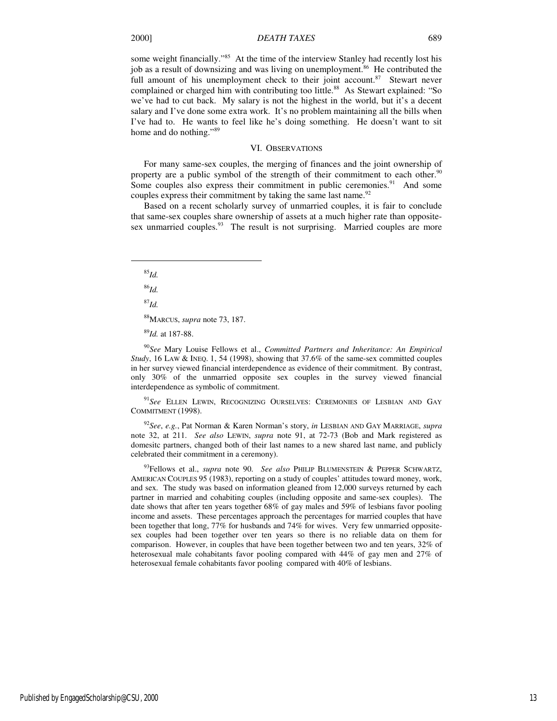some weight financially."<sup>85</sup> At the time of the interview Stanley had recently lost his job as a result of downsizing and was living on unemployment.<sup>86</sup> He contributed the full amount of his unemployment check to their joint account.<sup>87</sup> Stewart never complained or charged him with contributing too little.<sup>88</sup> As Stewart explained: "So we've had to cut back. My salary is not the highest in the world, but it's a decent salary and I've done some extra work. It's no problem maintaining all the bills when I've had to. He wants to feel like he's doing something. He doesn't want to sit home and do nothing."<sup>89</sup>

#### VI. OBSERVATIONS

For many same-sex couples, the merging of finances and the joint ownership of property are a public symbol of the strength of their commitment to each other. $90$ Some couples also express their commitment in public ceremonies.<sup>91</sup> And some couples express their commitment by taking the same last name.<sup>92</sup>

Based on a recent scholarly survey of unmarried couples, it is fair to conclude that same-sex couples share ownership of assets at a much higher rate than oppositesex unmarried couples.<sup>93</sup> The result is not surprising. Married couples are more

<sup>85</sup>*Id.*

 $\overline{a}$ 

<sup>86</sup>*Id.* 

<sup>87</sup>*Id.* 

<sup>88</sup>MARCUS, *supra* note 73, 187.

<sup>89</sup>*Id.* at 187-88.

<sup>90</sup>*See* Mary Louise Fellows et al., *Committed Partners and Inheritance: An Empirical Study*, 16 LAW & INEQ. 1, 54 (1998), showing that 37.6% of the same-sex committed couples in her survey viewed financial interdependence as evidence of their commitment. By contrast, only 30% of the unmarried opposite sex couples in the survey viewed financial interdependence as symbolic of commitment.

<sup>91</sup>*See* ELLEN LEWIN, RECOGNIZING OURSELVES: CEREMONIES OF LESBIAN AND GAY COMMITMENT (1998).

<sup>92</sup>*See*, *e.g.*, Pat Norman & Karen Norman's story, *in* LESBIAN AND GAY MARRIAGE, *supra* note 32, at 211. *See also* LEWIN, *supra* note 91, at 72-73 (Bob and Mark registered as domesitc partners, changed both of their last names to a new shared last name, and publicly celebrated their commitment in a ceremony).

<sup>93</sup>Fellows et al., *supra* note 90. *See also* PHILIP BLUMENSTEIN & PEPPER SCHWARTZ, AMERICAN COUPLES 95 (1983), reporting on a study of couples' attitudes toward money, work, and sex. The study was based on information gleaned from 12,000 surveys returned by each partner in married and cohabiting couples (including opposite and same-sex couples). The date shows that after ten years together 68% of gay males and 59% of lesbians favor pooling income and assets. These percentages approach the percentages for married couples that have been together that long, 77% for husbands and 74% for wives. Very few unmarried oppositesex couples had been together over ten years so there is no reliable data on them for comparison. However, in couples that have been together between two and ten years, 32% of heterosexual male cohabitants favor pooling compared with 44% of gay men and 27% of heterosexual female cohabitants favor pooling compared with 40% of lesbians.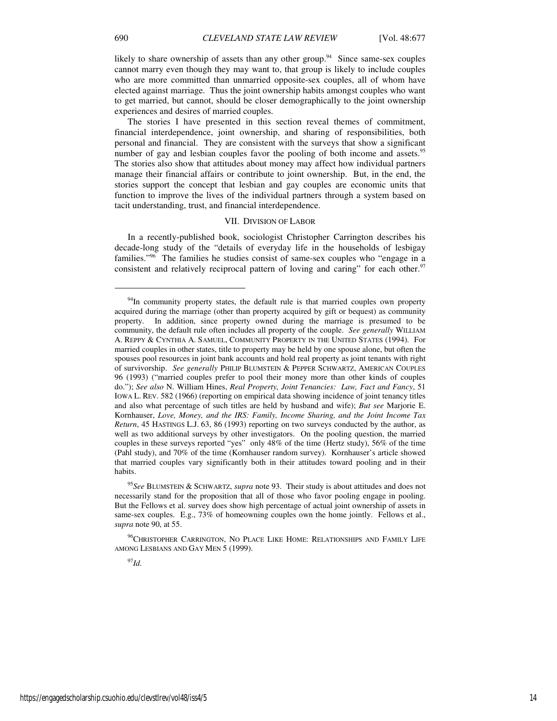likely to share ownership of assets than any other group.<sup>94</sup> Since same-sex couples cannot marry even though they may want to, that group is likely to include couples who are more committed than unmarried opposite-sex couples, all of whom have elected against marriage. Thus the joint ownership habits amongst couples who want to get married, but cannot, should be closer demographically to the joint ownership experiences and desires of married couples.

The stories I have presented in this section reveal themes of commitment, financial interdependence, joint ownership, and sharing of responsibilities, both personal and financial. They are consistent with the surveys that show a significant number of gay and lesbian couples favor the pooling of both income and assets.<sup>95</sup> The stories also show that attitudes about money may affect how individual partners manage their financial affairs or contribute to joint ownership. But, in the end, the stories support the concept that lesbian and gay couples are economic units that function to improve the lives of the individual partners through a system based on tacit understanding, trust, and financial interdependence.

#### VII. DIVISION OF LABOR

In a recently-published book, sociologist Christopher Carrington describes his decade-long study of the "details of everyday life in the households of lesbigay families."<sup>96</sup> The families he studies consist of same-sex couples who "engage in a consistent and relatively reciprocal pattern of loving and caring" for each other.<sup>97</sup>

<sup>96</sup>CHRISTOPHER CARRINGTON, NO PLACE LIKE HOME: RELATIONSHIPS AND FAMILY LIFE AMONG LESBIANS AND GAY MEN 5 (1999).

<sup>97</sup>*Id.*

 $94$ In community property states, the default rule is that married couples own property acquired during the marriage (other than property acquired by gift or bequest) as community property. In addition, since property owned during the marriage is presumed to be community, the default rule often includes all property of the couple. *See generally* WILLIAM A. REPPY & CYNTHIA A. SAMUEL, COMMUNITY PROPERTY IN THE UNITED STATES (1994). For married couples in other states, title to property may be held by one spouse alone, but often the spouses pool resources in joint bank accounts and hold real property as joint tenants with right of survivorship. *See generally* PHILIP BLUMSTEIN & PEPPER SCHWARTZ, AMERICAN COUPLES 96 (1993) ("married couples prefer to pool their money more than other kinds of couples do."); *See also* N. William Hines, *Real Property, Joint Tenancies: Law, Fact and Fancy*, 51 IOWA L. REV. 582 (1966) (reporting on empirical data showing incidence of joint tenancy titles and also what percentage of such titles are held by husband and wife); *But see* Marjorie E. Kornhauser, *Love, Money, and the IRS: Family, Income Sharing, and the Joint Income Tax Return*, 45 HASTINGS L.J. 63, 86 (1993) reporting on two surveys conducted by the author, as well as two additional surveys by other investigators. On the pooling question, the married couples in these surveys reported "yes" only 48% of the time (Hertz study), 56% of the time (Pahl study), and 70% of the time (Kornhauser random survey). Kornhauser's article showed that married couples vary significantly both in their attitudes toward pooling and in their habits.

<sup>95</sup>*See* BLUMSTEIN & SCHWARTZ, *supra* note 93. Their study is about attitudes and does not necessarily stand for the proposition that all of those who favor pooling engage in pooling. But the Fellows et al. survey does show high percentage of actual joint ownership of assets in same-sex couples. E.g., 73% of homeowning couples own the home jointly. Fellows et al., *supra* note 90, at 55.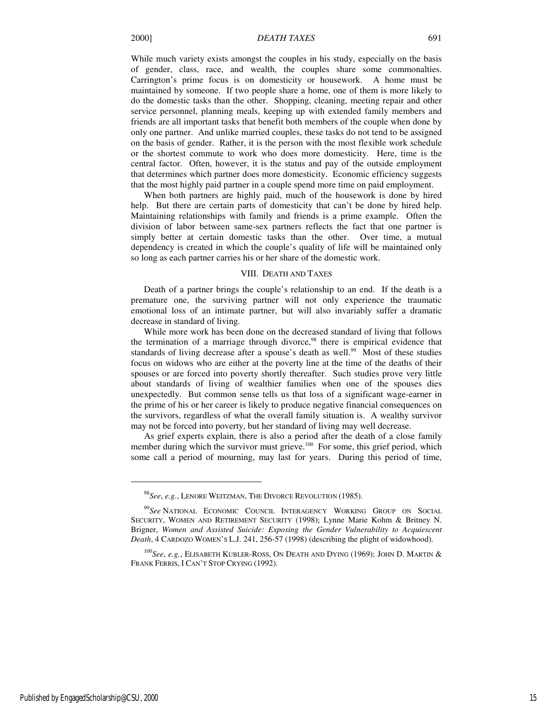While much variety exists amongst the couples in his study, especially on the basis of gender, class, race, and wealth, the couples share some commonalties. Carrington's prime focus is on domesticity or housework. A home must be maintained by someone. If two people share a home, one of them is more likely to do the domestic tasks than the other. Shopping, cleaning, meeting repair and other service personnel, planning meals, keeping up with extended family members and friends are all important tasks that benefit both members of the couple when done by only one partner. And unlike married couples, these tasks do not tend to be assigned on the basis of gender. Rather, it is the person with the most flexible work schedule or the shortest commute to work who does more domesticity. Here, time is the central factor. Often, however, it is the status and pay of the outside employment that determines which partner does more domesticity. Economic efficiency suggests that the most highly paid partner in a couple spend more time on paid employment.

When both partners are highly paid, much of the housework is done by hired help. But there are certain parts of domesticity that can't be done by hired help. Maintaining relationships with family and friends is a prime example. Often the division of labor between same-sex partners reflects the fact that one partner is simply better at certain domestic tasks than the other. Over time, a mutual dependency is created in which the couple's quality of life will be maintained only so long as each partner carries his or her share of the domestic work.

#### VIII. DEATH AND TAXES

Death of a partner brings the couple's relationship to an end. If the death is a premature one, the surviving partner will not only experience the traumatic emotional loss of an intimate partner, but will also invariably suffer a dramatic decrease in standard of living.

While more work has been done on the decreased standard of living that follows the termination of a marriage through divorce, $98$  there is empirical evidence that standards of living decrease after a spouse's death as well.<sup>99</sup> Most of these studies focus on widows who are either at the poverty line at the time of the deaths of their spouses or are forced into poverty shortly thereafter. Such studies prove very little about standards of living of wealthier families when one of the spouses dies unexpectedly. But common sense tells us that loss of a significant wage-earner in the prime of his or her career is likely to produce negative financial consequences on the survivors, regardless of what the overall family situation is. A wealthy survivor may not be forced into poverty, but her standard of living may well decrease.

As grief experts explain, there is also a period after the death of a close family member during which the survivor must grieve.<sup>100</sup> For some, this grief period, which some call a period of mourning, may last for years. During this period of time,

Published by EngagedScholarship@CSU, 2000 15

<sup>98</sup>*See*, *e.g.*, LENORE WEITZMAN, THE DIVORCE REVOLUTION (1985).

<sup>99</sup>*See* NATIONAL ECONOMIC COUNCIL INTERAGENCY WORKING GROUP ON SOCIAL SECURITY, WOMEN AND RETIREMENT SECURITY (1998); Lynne Marie Kohm & Britney N. Brigner, *Women and Assisted Suicide: Exposing the Gender Vulnerability to Acquiescent Death*, 4 CARDOZO WOMEN'S L.J. 241, 256-57 (1998) (describing the plight of widowhood).

<sup>100</sup>*See*, *e.g.*, ELISABETH KUBLER-ROSS, ON DEATH AND DYING (1969); JOHN D. MARTIN & FRANK FERRIS, I CAN'T STOP CRYING (1992).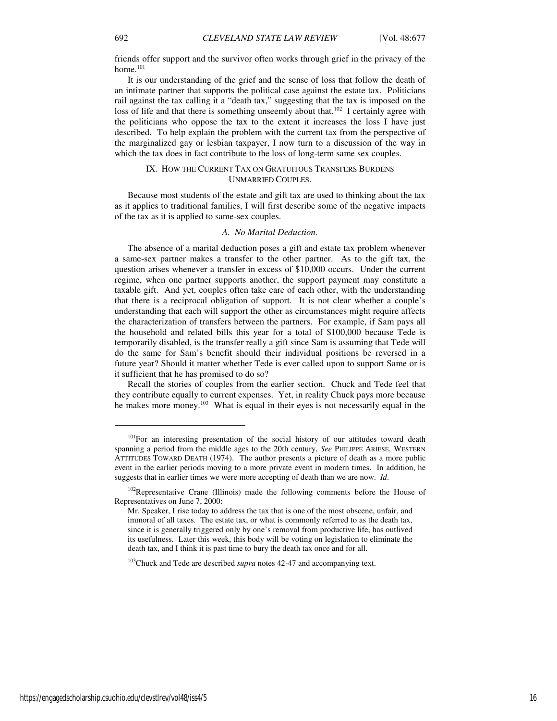friends offer support and the survivor often works through grief in the privacy of the home. $101$ 

It is our understanding of the grief and the sense of loss that follow the death of an intimate partner that supports the political case against the estate tax. Politicians rail against the tax calling it a "death tax," suggesting that the tax is imposed on the loss of life and that there is something unseemly about that.<sup>102</sup> I certainly agree with the politicians who oppose the tax to the extent it increases the loss I have just described. To help explain the problem with the current tax from the perspective of the marginalized gay or lesbian taxpayer, I now turn to a discussion of the way in which the tax does in fact contribute to the loss of long-term same sex couples.

#### IX. HOW THE CURRENT TAX ON GRATUITOUS TRANSFERS BURDENS UNMARRIED COUPLES.

Because most students of the estate and gift tax are used to thinking about the tax as it applies to traditional families, I will first describe some of the negative impacts of the tax as it is applied to same-sex couples.

#### *A. No Marital Deduction.*

The absence of a marital deduction poses a gift and estate tax problem whenever a same-sex partner makes a transfer to the other partner. As to the gift tax, the question arises whenever a transfer in excess of \$10,000 occurs. Under the current regime, when one partner supports another, the support payment may constitute a taxable gift. And yet, couples often take care of each other, with the understanding that there is a reciprocal obligation of support. It is not clear whether a couple's understanding that each will support the other as circumstances might require affects the characterization of transfers between the partners. For example, if Sam pays all the household and related bills this year for a total of \$100,000 because Tede is temporarily disabled, is the transfer really a gift since Sam is assuming that Tede will do the same for Sam's benefit should their individual positions be reversed in a future year? Should it matter whether Tede is ever called upon to support Same or is it sufficient that he has promised to do so?

Recall the stories of couples from the earlier section. Chuck and Tede feel that they contribute equally to current expenses. Yet, in reality Chuck pays more because he makes more money.<sup>103</sup> What is equal in their eyes is not necessarily equal in the

j

<sup>&</sup>lt;sup>101</sup>For an interesting presentation of the social history of our attitudes toward death spanning a period from the middle ages to the 20th century, *See* PHILIPPE ARIESE, WESTERN ATTITUDES TOWARD DEATH (1974). The author presents a picture of death as a more public event in the earlier periods moving to a more private event in modern times. In addition, he suggests that in earlier times we were more accepting of death than we are now. *Id*.

<sup>&</sup>lt;sup>102</sup>Representative Crane (Illinois) made the following comments before the House of Representatives on June 7, 2000:

Mr. Speaker, I rise today to address the tax that is one of the most obscene, unfair, and immoral of all taxes. The estate tax, or what is commonly referred to as the death tax, since it is generally triggered only by one's removal from productive life, has outlived its usefulness. Later this week, this body will be voting on legislation to eliminate the death tax, and I think it is past time to bury the death tax once and for all.

<sup>103</sup>Chuck and Tede are described *supra* notes 42-47 and accompanying text.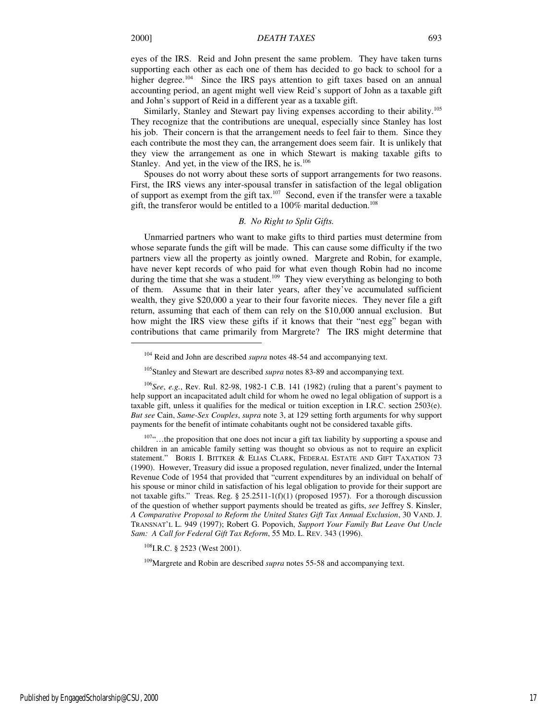$\overline{a}$ 

eyes of the IRS. Reid and John present the same problem. They have taken turns supporting each other as each one of them has decided to go back to school for a higher degree.<sup>104</sup> Since the IRS pays attention to gift taxes based on an annual accounting period, an agent might well view Reid's support of John as a taxable gift and John's support of Reid in a different year as a taxable gift.

Similarly, Stanley and Stewart pay living expenses according to their ability.<sup>105</sup> They recognize that the contributions are unequal, especially since Stanley has lost his job. Their concern is that the arrangement needs to feel fair to them. Since they each contribute the most they can, the arrangement does seem fair. It is unlikely that they view the arrangement as one in which Stewart is making taxable gifts to Stanley. And yet, in the view of the IRS, he is. $106$ 

Spouses do not worry about these sorts of support arrangements for two reasons. First, the IRS views any inter-spousal transfer in satisfaction of the legal obligation of support as exempt from the gift tax.<sup>107</sup> Second, even if the transfer were a taxable gift, the transferor would be entitled to a  $100\%$  marital deduction.<sup>108</sup>

#### *B. No Right to Split Gifts.*

Unmarried partners who want to make gifts to third parties must determine from whose separate funds the gift will be made. This can cause some difficulty if the two partners view all the property as jointly owned. Margrete and Robin, for example, have never kept records of who paid for what even though Robin had no income during the time that she was a student.<sup>109</sup> They view everything as belonging to both of them. Assume that in their later years, after they've accumulated sufficient wealth, they give \$20,000 a year to their four favorite nieces. They never file a gift return, assuming that each of them can rely on the \$10,000 annual exclusion. But how might the IRS view these gifts if it knows that their "nest egg" began with contributions that came primarily from Margrete? The IRS might determine that

<sup>108</sup>I.R.C. § 2523 (West 2001).

<sup>109</sup>Margrete and Robin are described *supra* notes 55-58 and accompanying text.

<sup>&</sup>lt;sup>104</sup> Reid and John are described *supra* notes 48-54 and accompanying text.

<sup>105</sup>Stanley and Stewart are described *supra* notes 83-89 and accompanying text.

<sup>106</sup>*See*, *e.g.*, Rev. Rul. 82-98, 1982-1 C.B. 141 (1982) (ruling that a parent's payment to help support an incapacitated adult child for whom he owed no legal obligation of support is a taxable gift, unless it qualifies for the medical or tuition exception in I.R.C. section 2503(e). *But see* Cain, *Same-Sex Couples*, *supra* note 3, at 129 setting forth arguments for why support payments for the benefit of intimate cohabitants ought not be considered taxable gifts.

<sup>&</sup>lt;sup>107</sup>"...the proposition that one does not incur a gift tax liability by supporting a spouse and children in an amicable family setting was thought so obvious as not to require an explicit statement." BORIS I. BITTKER & ELIAS CLARK, FEDERAL ESTATE AND GIFT TAXATION 73 (1990). However, Treasury did issue a proposed regulation, never finalized, under the Internal Revenue Code of 1954 that provided that "current expenditures by an individual on behalf of his spouse or minor child in satisfaction of his legal obligation to provide for their support are not taxable gifts." Treas. Reg. § 25.2511-1(f)(1) (proposed 1957). For a thorough discussion of the question of whether support payments should be treated as gifts, *see* Jeffrey S. Kinsler, *A Comparative Proposal to Reform the United States Gift Tax Annual Exclusion*, 30 VAND. J. TRANSNAT'L L. 949 (1997); Robert G. Popovich, *Support Your Family But Leave Out Uncle Sam: A Call for Federal Gift Tax Reform*, 55 MD. L. REV. 343 (1996).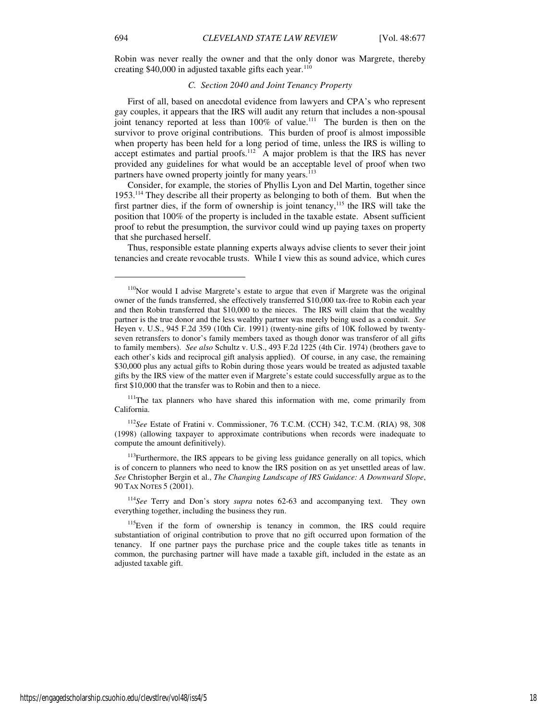#### *C. Section 2040 and Joint Tenancy Property*

First of all, based on anecdotal evidence from lawyers and CPA's who represent gay couples, it appears that the IRS will audit any return that includes a non-spousal joint tenancy reported at less than 100% of value.<sup>111</sup> The burden is then on the survivor to prove original contributions. This burden of proof is almost impossible when property has been held for a long period of time, unless the IRS is willing to accept estimates and partial proofs.<sup>112</sup> A major problem is that the IRS has never provided any guidelines for what would be an acceptable level of proof when two partners have owned property jointly for many years.<sup>113</sup>

Consider, for example, the stories of Phyllis Lyon and Del Martin, together since 1953.<sup>114</sup> They describe all their property as belonging to both of them. But when the first partner dies, if the form of ownership is joint tenancy,<sup>115</sup> the IRS will take the position that 100% of the property is included in the taxable estate. Absent sufficient proof to rebut the presumption, the survivor could wind up paying taxes on property that she purchased herself.

Thus, responsible estate planning experts always advise clients to sever their joint tenancies and create revocable trusts. While I view this as sound advice, which cures

<sup>111</sup>The tax planners who have shared this information with me, come primarily from California.

<sup>112</sup>*See* Estate of Fratini v. Commissioner, 76 T.C.M. (CCH) 342, T.C.M. (RIA) 98, 308 (1998) (allowing taxpayer to approximate contributions when records were inadequate to compute the amount definitively).

<sup>113</sup>Furthermore, the IRS appears to be giving less guidance generally on all topics, which is of concern to planners who need to know the IRS position on as yet unsettled areas of law. *See* Christopher Bergin et al., *The Changing Landscape of IRS Guidance: A Downward Slope*, 90 TAX NOTES 5 (2001).

<sup>114</sup>*See* Terry and Don's story *supra* notes 62-63 and accompanying text. They own everything together, including the business they run.

<sup>115</sup>Even if the form of ownership is tenancy in common, the IRS could require substantiation of original contribution to prove that no gift occurred upon formation of the tenancy. If one partner pays the purchase price and the couple takes title as tenants in common, the purchasing partner will have made a taxable gift, included in the estate as an adjusted taxable gift.

 $110$ Nor would I advise Margrete's estate to argue that even if Margrete was the original owner of the funds transferred, she effectively transferred \$10,000 tax-free to Robin each year and then Robin transferred that \$10,000 to the nieces. The IRS will claim that the wealthy partner is the true donor and the less wealthy partner was merely being used as a conduit. *See* Heyen v. U.S., 945 F.2d 359 (10th Cir. 1991) (twenty-nine gifts of 10K followed by twentyseven retransfers to donor's family members taxed as though donor was transferor of all gifts to family members). *See also* Schultz v. U.S., 493 F.2d 1225 (4th Cir. 1974) (brothers gave to each other's kids and reciprocal gift analysis applied). Of course, in any case, the remaining \$30,000 plus any actual gifts to Robin during those years would be treated as adjusted taxable gifts by the IRS view of the matter even if Margrete's estate could successfully argue as to the first \$10,000 that the transfer was to Robin and then to a niece.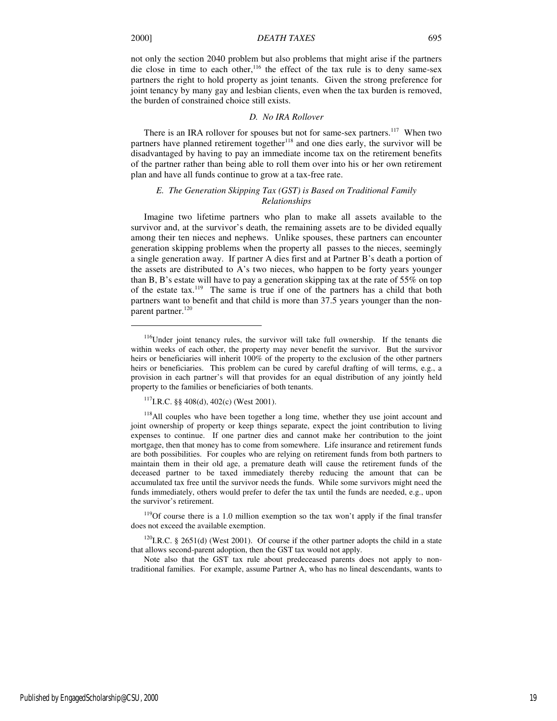$\overline{a}$ 

not only the section 2040 problem but also problems that might arise if the partners die close in time to each other,<sup>116</sup> the effect of the tax rule is to deny same-sex partners the right to hold property as joint tenants. Given the strong preference for joint tenancy by many gay and lesbian clients, even when the tax burden is removed, the burden of constrained choice still exists.

#### *D. No IRA Rollover*

There is an IRA rollover for spouses but not for same-sex partners.<sup>117</sup> When two partners have planned retirement together<sup>118</sup> and one dies early, the survivor will be disadvantaged by having to pay an immediate income tax on the retirement benefits of the partner rather than being able to roll them over into his or her own retirement plan and have all funds continue to grow at a tax-free rate.

## *E. The Generation Skipping Tax (GST) is Based on Traditional Family Relationships*

Imagine two lifetime partners who plan to make all assets available to the survivor and, at the survivor's death, the remaining assets are to be divided equally among their ten nieces and nephews. Unlike spouses, these partners can encounter generation skipping problems when the property all passes to the nieces, seemingly a single generation away. If partner A dies first and at Partner B's death a portion of the assets are distributed to A's two nieces, who happen to be forty years younger than B, B's estate will have to pay a generation skipping tax at the rate of 55% on top of the estate tax.<sup>119</sup> The same is true if one of the partners has a child that both partners want to benefit and that child is more than 37.5 years younger than the nonparent partner.<sup>120</sup>

<sup>119</sup>Of course there is a 1.0 million exemption so the tax won't apply if the final transfer does not exceed the available exemption.

 $120$ I.R.C. § 2651(d) (West 2001). Of course if the other partner adopts the child in a state that allows second-parent adoption, then the GST tax would not apply.

Note also that the GST tax rule about predeceased parents does not apply to nontraditional families. For example, assume Partner A, who has no lineal descendants, wants to

<sup>&</sup>lt;sup>116</sup>Under joint tenancy rules, the survivor will take full ownership. If the tenants die within weeks of each other, the property may never benefit the survivor. But the survivor heirs or beneficiaries will inherit 100% of the property to the exclusion of the other partners heirs or beneficiaries. This problem can be cured by careful drafting of will terms, e.g., a provision in each partner's will that provides for an equal distribution of any jointly held property to the families or beneficiaries of both tenants.

<sup>117</sup>I.R.C. §§ 408(d), 402(c) (West 2001).

<sup>&</sup>lt;sup>118</sup>All couples who have been together a long time, whether they use joint account and joint ownership of property or keep things separate, expect the joint contribution to living expenses to continue. If one partner dies and cannot make her contribution to the joint mortgage, then that money has to come from somewhere. Life insurance and retirement funds are both possibilities. For couples who are relying on retirement funds from both partners to maintain them in their old age, a premature death will cause the retirement funds of the deceased partner to be taxed immediately thereby reducing the amount that can be accumulated tax free until the survivor needs the funds. While some survivors might need the funds immediately, others would prefer to defer the tax until the funds are needed, e.g., upon the survivor's retirement.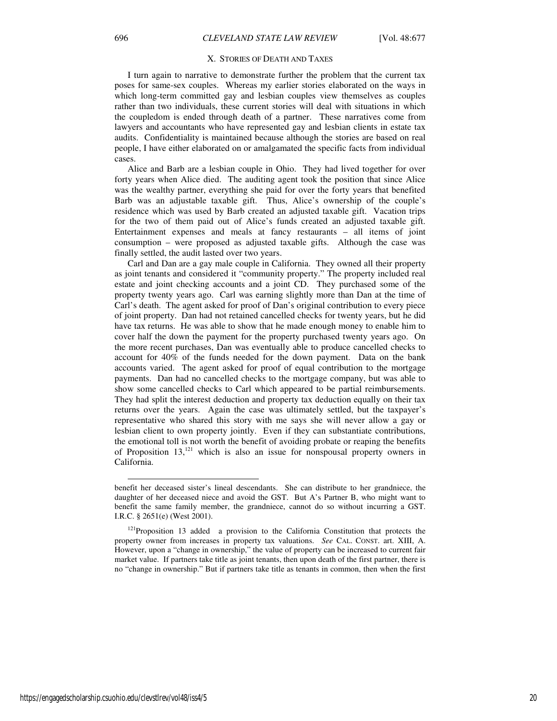#### X. STORIES OF DEATH AND TAXES

I turn again to narrative to demonstrate further the problem that the current tax poses for same-sex couples. Whereas my earlier stories elaborated on the ways in which long-term committed gay and lesbian couples view themselves as couples rather than two individuals, these current stories will deal with situations in which the coupledom is ended through death of a partner. These narratives come from lawyers and accountants who have represented gay and lesbian clients in estate tax audits. Confidentiality is maintained because although the stories are based on real people, I have either elaborated on or amalgamated the specific facts from individual cases.

Alice and Barb are a lesbian couple in Ohio. They had lived together for over forty years when Alice died. The auditing agent took the position that since Alice was the wealthy partner, everything she paid for over the forty years that benefited Barb was an adjustable taxable gift. Thus, Alice's ownership of the couple's residence which was used by Barb created an adjusted taxable gift. Vacation trips for the two of them paid out of Alice's funds created an adjusted taxable gift. Entertainment expenses and meals at fancy restaurants – all items of joint consumption – were proposed as adjusted taxable gifts. Although the case was finally settled, the audit lasted over two years.

Carl and Dan are a gay male couple in California. They owned all their property as joint tenants and considered it "community property." The property included real estate and joint checking accounts and a joint CD. They purchased some of the property twenty years ago. Carl was earning slightly more than Dan at the time of Carl's death. The agent asked for proof of Dan's original contribution to every piece of joint property. Dan had not retained cancelled checks for twenty years, but he did have tax returns. He was able to show that he made enough money to enable him to cover half the down the payment for the property purchased twenty years ago. On the more recent purchases, Dan was eventually able to produce cancelled checks to account for 40% of the funds needed for the down payment. Data on the bank accounts varied. The agent asked for proof of equal contribution to the mortgage payments. Dan had no cancelled checks to the mortgage company, but was able to show some cancelled checks to Carl which appeared to be partial reimbursements. They had split the interest deduction and property tax deduction equally on their tax returns over the years. Again the case was ultimately settled, but the taxpayer's representative who shared this story with me says she will never allow a gay or lesbian client to own property jointly. Even if they can substantiate contributions, the emotional toll is not worth the benefit of avoiding probate or reaping the benefits of Proposition 13,<sup>121</sup> which is also an issue for nonspousal property owners in California.

-

benefit her deceased sister's lineal descendants. She can distribute to her grandniece, the daughter of her deceased niece and avoid the GST. But A's Partner B, who might want to benefit the same family member, the grandniece, cannot do so without incurring a GST. I.R.C. § 2651(e) (West 2001).

 $121$ Proposition 13 added a provision to the California Constitution that protects the property owner from increases in property tax valuations. *See* CAL. CONST. art. XIII, A. However, upon a "change in ownership," the value of property can be increased to current fair market value. If partners take title as joint tenants, then upon death of the first partner, there is no "change in ownership." But if partners take title as tenants in common, then when the first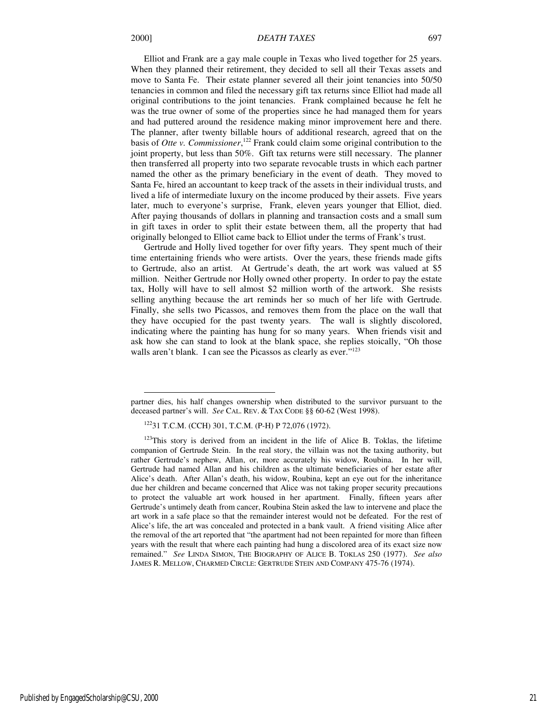-

Elliot and Frank are a gay male couple in Texas who lived together for 25 years. When they planned their retirement, they decided to sell all their Texas assets and move to Santa Fe. Their estate planner severed all their joint tenancies into 50/50 tenancies in common and filed the necessary gift tax returns since Elliot had made all original contributions to the joint tenancies. Frank complained because he felt he was the true owner of some of the properties since he had managed them for years and had puttered around the residence making minor improvement here and there. The planner, after twenty billable hours of additional research, agreed that on the basis of *Otte v. Commissioner*, <sup>122</sup> Frank could claim some original contribution to the joint property, but less than 50%. Gift tax returns were still necessary. The planner then transferred all property into two separate revocable trusts in which each partner named the other as the primary beneficiary in the event of death. They moved to Santa Fe, hired an accountant to keep track of the assets in their individual trusts, and lived a life of intermediate luxury on the income produced by their assets. Five years later, much to everyone's surprise, Frank, eleven years younger that Elliot, died. After paying thousands of dollars in planning and transaction costs and a small sum in gift taxes in order to split their estate between them, all the property that had originally belonged to Elliot came back to Elliot under the terms of Frank's trust.

Gertrude and Holly lived together for over fifty years. They spent much of their time entertaining friends who were artists. Over the years, these friends made gifts to Gertrude, also an artist. At Gertrude's death, the art work was valued at \$5 million. Neither Gertrude nor Holly owned other property. In order to pay the estate tax, Holly will have to sell almost \$2 million worth of the artwork. She resists selling anything because the art reminds her so much of her life with Gertrude. Finally, she sells two Picassos, and removes them from the place on the wall that they have occupied for the past twenty years. The wall is slightly discolored, indicating where the painting has hung for so many years. When friends visit and ask how she can stand to look at the blank space, she replies stoically, "Oh those walls aren't blank. I can see the Picassos as clearly as ever."<sup>123</sup>

partner dies, his half changes ownership when distributed to the survivor pursuant to the deceased partner's will. *See* CAL. REV. & TAX CODE §§ 60-62 (West 1998).

<sup>122</sup>31 T.C.M. (CCH) 301, T.C.M. (P-H) P 72,076 (1972).

<sup>&</sup>lt;sup>123</sup>This story is derived from an incident in the life of Alice B. Toklas, the lifetime companion of Gertrude Stein. In the real story, the villain was not the taxing authority, but rather Gertrude's nephew, Allan, or, more accurately his widow, Roubina. In her will, Gertrude had named Allan and his children as the ultimate beneficiaries of her estate after Alice's death. After Allan's death, his widow, Roubina, kept an eye out for the inheritance due her children and became concerned that Alice was not taking proper security precautions to protect the valuable art work housed in her apartment. Finally, fifteen years after Gertrude's untimely death from cancer, Roubina Stein asked the law to intervene and place the art work in a safe place so that the remainder interest would not be defeated. For the rest of Alice's life, the art was concealed and protected in a bank vault. A friend visiting Alice after the removal of the art reported that "the apartment had not been repainted for more than fifteen years with the result that where each painting had hung a discolored area of its exact size now remained." *See* LINDA SIMON, THE BIOGRAPHY OF ALICE B. TOKLAS 250 (1977). *See also* JAMES R. MELLOW, CHARMED CIRCLE: GERTRUDE STEIN AND COMPANY 475-76 (1974).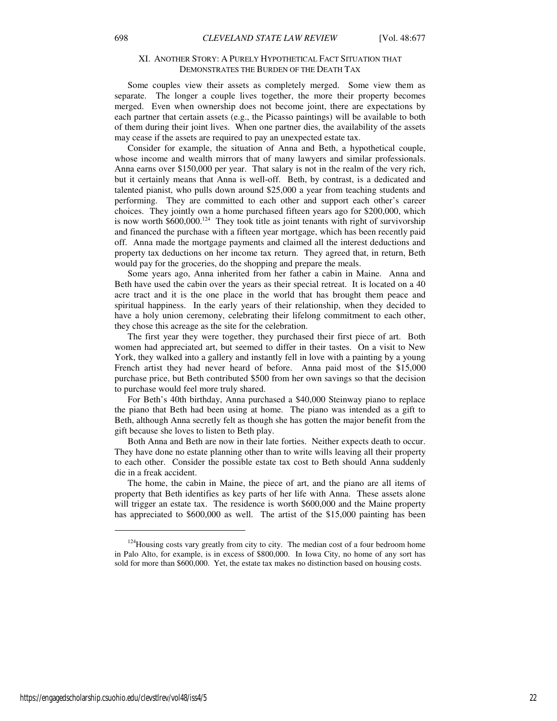#### XI. ANOTHER STORY: A PURELY HYPOTHETICAL FACT SITUATION THAT DEMONSTRATES THE BURDEN OF THE DEATH TAX

Some couples view their assets as completely merged. Some view them as separate. The longer a couple lives together, the more their property becomes merged. Even when ownership does not become joint, there are expectations by each partner that certain assets (e.g., the Picasso paintings) will be available to both of them during their joint lives. When one partner dies, the availability of the assets may cease if the assets are required to pay an unexpected estate tax.

Consider for example, the situation of Anna and Beth, a hypothetical couple, whose income and wealth mirrors that of many lawyers and similar professionals. Anna earns over \$150,000 per year. That salary is not in the realm of the very rich, but it certainly means that Anna is well-off. Beth, by contrast, is a dedicated and talented pianist, who pulls down around \$25,000 a year from teaching students and performing. They are committed to each other and support each other's career choices. They jointly own a home purchased fifteen years ago for \$200,000, which is now worth \$600,000.<sup>124</sup> They took title as joint tenants with right of survivorship and financed the purchase with a fifteen year mortgage, which has been recently paid off. Anna made the mortgage payments and claimed all the interest deductions and property tax deductions on her income tax return. They agreed that, in return, Beth would pay for the groceries, do the shopping and prepare the meals.

Some years ago, Anna inherited from her father a cabin in Maine. Anna and Beth have used the cabin over the years as their special retreat. It is located on a 40 acre tract and it is the one place in the world that has brought them peace and spiritual happiness. In the early years of their relationship, when they decided to have a holy union ceremony, celebrating their lifelong commitment to each other, they chose this acreage as the site for the celebration.

The first year they were together, they purchased their first piece of art. Both women had appreciated art, but seemed to differ in their tastes. On a visit to New York, they walked into a gallery and instantly fell in love with a painting by a young French artist they had never heard of before. Anna paid most of the \$15,000 purchase price, but Beth contributed \$500 from her own savings so that the decision to purchase would feel more truly shared.

For Beth's 40th birthday, Anna purchased a \$40,000 Steinway piano to replace the piano that Beth had been using at home. The piano was intended as a gift to Beth, although Anna secretly felt as though she has gotten the major benefit from the gift because she loves to listen to Beth play.

Both Anna and Beth are now in their late forties. Neither expects death to occur. They have done no estate planning other than to write wills leaving all their property to each other. Consider the possible estate tax cost to Beth should Anna suddenly die in a freak accident.

The home, the cabin in Maine, the piece of art, and the piano are all items of property that Beth identifies as key parts of her life with Anna. These assets alone will trigger an estate tax. The residence is worth \$600,000 and the Maine property has appreciated to \$600,000 as well. The artist of the \$15,000 painting has been

 $124$ Housing costs vary greatly from city to city. The median cost of a four bedroom home in Palo Alto, for example, is in excess of \$800,000. In Iowa City, no home of any sort has sold for more than \$600,000. Yet, the estate tax makes no distinction based on housing costs.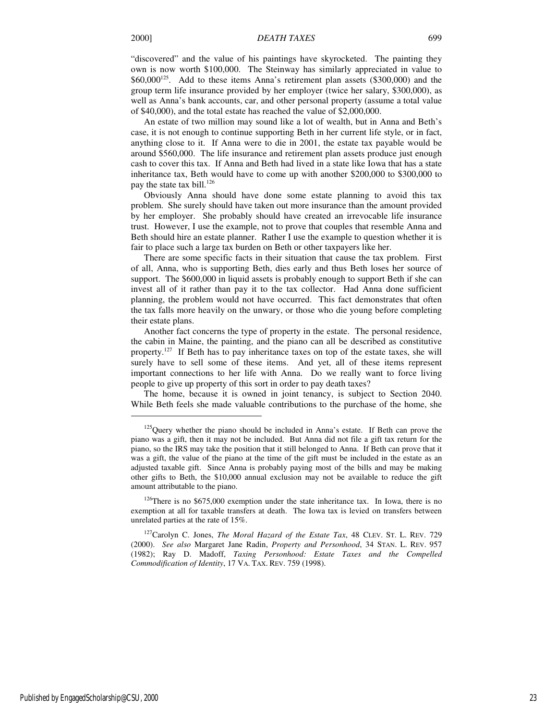"discovered" and the value of his paintings have skyrocketed. The painting they own is now worth \$100,000. The Steinway has similarly appreciated in value to \$60,000<sup>125</sup>. Add to these items Anna's retirement plan assets (\$300,000) and the group term life insurance provided by her employer (twice her salary, \$300,000), as well as Anna's bank accounts, car, and other personal property (assume a total value of \$40,000), and the total estate has reached the value of \$2,000,000.

An estate of two million may sound like a lot of wealth, but in Anna and Beth's case, it is not enough to continue supporting Beth in her current life style, or in fact, anything close to it. If Anna were to die in 2001, the estate tax payable would be around \$560,000. The life insurance and retirement plan assets produce just enough cash to cover this tax. If Anna and Beth had lived in a state like Iowa that has a state inheritance tax, Beth would have to come up with another \$200,000 to \$300,000 to pay the state tax bill.<sup>126</sup>

Obviously Anna should have done some estate planning to avoid this tax problem. She surely should have taken out more insurance than the amount provided by her employer. She probably should have created an irrevocable life insurance trust. However, I use the example, not to prove that couples that resemble Anna and Beth should hire an estate planner. Rather I use the example to question whether it is fair to place such a large tax burden on Beth or other taxpayers like her.

There are some specific facts in their situation that cause the tax problem. First of all, Anna, who is supporting Beth, dies early and thus Beth loses her source of support. The \$600,000 in liquid assets is probably enough to support Beth if she can invest all of it rather than pay it to the tax collector. Had Anna done sufficient planning, the problem would not have occurred. This fact demonstrates that often the tax falls more heavily on the unwary, or those who die young before completing their estate plans.

Another fact concerns the type of property in the estate. The personal residence, the cabin in Maine, the painting, and the piano can all be described as constitutive property.<sup>127</sup> If Beth has to pay inheritance taxes on top of the estate taxes, she will surely have to sell some of these items. And yet, all of these items represent important connections to her life with Anna. Do we really want to force living people to give up property of this sort in order to pay death taxes?

The home, because it is owned in joint tenancy, is subject to Section 2040. While Beth feels she made valuable contributions to the purchase of the home, she

<sup>&</sup>lt;sup>125</sup>Query whether the piano should be included in Anna's estate. If Beth can prove the piano was a gift, then it may not be included. But Anna did not file a gift tax return for the piano, so the IRS may take the position that it still belonged to Anna. If Beth can prove that it was a gift, the value of the piano at the time of the gift must be included in the estate as an adjusted taxable gift. Since Anna is probably paying most of the bills and may be making other gifts to Beth, the \$10,000 annual exclusion may not be available to reduce the gift amount attributable to the piano.

 $126$ There is no \$675,000 exemption under the state inheritance tax. In Iowa, there is no exemption at all for taxable transfers at death. The Iowa tax is levied on transfers between unrelated parties at the rate of 15%.

<sup>127</sup>Carolyn C. Jones, *The Moral Hazard of the Estate Tax*, 48 CLEV. ST. L. REV. 729 (2000). *See also* Margaret Jane Radin, *Property and Personhood*, 34 STAN. L. REV. 957 (1982); Ray D. Madoff, *Taxing Personhood: Estate Taxes and the Compelled Commodification of Identity*, 17 VA. TAX. REV. 759 (1998).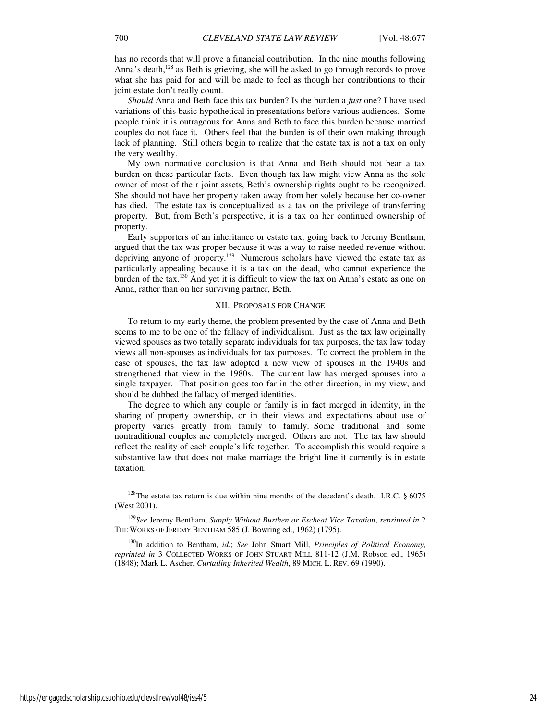has no records that will prove a financial contribution. In the nine months following Anna's death,<sup>128</sup> as Beth is grieving, she will be asked to go through records to prove what she has paid for and will be made to feel as though her contributions to their joint estate don't really count.

*Should* Anna and Beth face this tax burden? Is the burden a *just* one? I have used variations of this basic hypothetical in presentations before various audiences. Some people think it is outrageous for Anna and Beth to face this burden because married couples do not face it. Others feel that the burden is of their own making through lack of planning. Still others begin to realize that the estate tax is not a tax on only the very wealthy.

My own normative conclusion is that Anna and Beth should not bear a tax burden on these particular facts. Even though tax law might view Anna as the sole owner of most of their joint assets, Beth's ownership rights ought to be recognized. She should not have her property taken away from her solely because her co-owner has died. The estate tax is conceptualized as a tax on the privilege of transferring property. But, from Beth's perspective, it is a tax on her continued ownership of property.

Early supporters of an inheritance or estate tax, going back to Jeremy Bentham, argued that the tax was proper because it was a way to raise needed revenue without depriving anyone of property.<sup>129</sup> Numerous scholars have viewed the estate tax as particularly appealing because it is a tax on the dead, who cannot experience the burden of the tax.<sup>130</sup> And yet it is difficult to view the tax on Anna's estate as one on Anna, rather than on her surviving partner, Beth.

#### XII. PROPOSALS FOR CHANGE

To return to my early theme, the problem presented by the case of Anna and Beth seems to me to be one of the fallacy of individualism. Just as the tax law originally viewed spouses as two totally separate individuals for tax purposes, the tax law today views all non-spouses as individuals for tax purposes. To correct the problem in the case of spouses, the tax law adopted a new view of spouses in the 1940s and strengthened that view in the 1980s. The current law has merged spouses into a single taxpayer. That position goes too far in the other direction, in my view, and should be dubbed the fallacy of merged identities.

The degree to which any couple or family is in fact merged in identity, in the sharing of property ownership, or in their views and expectations about use of property varies greatly from family to family. Some traditional and some nontraditional couples are completely merged. Others are not. The tax law should reflect the reality of each couple's life together. To accomplish this would require a substantive law that does not make marriage the bright line it currently is in estate taxation.

 $128$ The estate tax return is due within nine months of the decedent's death. I.R.C. § 6075 (West 2001).

<sup>129</sup>*See* Jeremy Bentham, *Supply Without Burthen or Escheat Vice Taxation*, *reprinted in* 2 THE WORKS OF JEREMY BENTHAM 585 (J. Bowring ed., 1962) (1795).

<sup>130</sup>In addition to Bentham, *id.*; *See* John Stuart Mill, *Principles of Political Economy*, *reprinted in* 3 COLLECTED WORKS OF JOHN STUART MILL 811-12 (J.M. Robson ed., 1965) (1848); Mark L. Ascher, *Curtailing Inherited Wealth*, 89 MICH. L. REV. 69 (1990).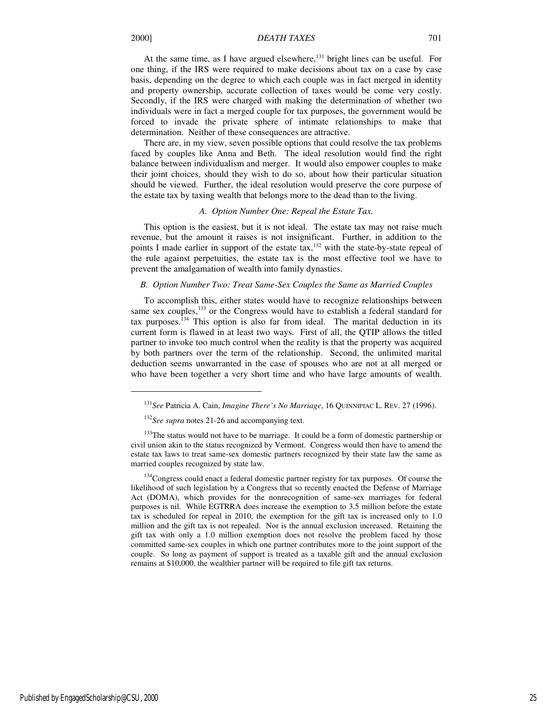At the same time, as I have argued elsewhere,<sup>131</sup> bright lines can be useful. For one thing, if the IRS were required to make decisions about tax on a case by case basis, depending on the degree to which each couple was in fact merged in identity and property ownership, accurate collection of taxes would be come very costly. Secondly, if the IRS were charged with making the determination of whether two individuals were in fact a merged couple for tax purposes, the government would be forced to invade the private sphere of intimate relationships to make that determination. Neither of these consequences are attractive.

There are, in my view, seven possible options that could resolve the tax problems faced by couples like Anna and Beth. The ideal resolution would find the right balance between individualism and merger. It would also empower couples to make their joint choices, should they wish to do so, about how their particular situation should be viewed. Further, the ideal resolution would preserve the core purpose of the estate tax by taxing wealth that belongs more to the dead than to the living.

#### *A. Option Number One: Repeal the Estate Tax.*

This option is the easiest, but it is not ideal. The estate tax may not raise much revenue, but the amount it raises is not insignificant. Further, in addition to the points I made earlier in support of the estate tax,<sup>132</sup> with the state-by-state repeal of the rule against perpetuities, the estate tax is the most effective tool we have to prevent the amalgamation of wealth into family dynasties.

#### *B. Option Number Two: Treat Same-Sex Couples the Same as Married Couples*

To accomplish this, either states would have to recognize relationships between same sex couples,<sup>133</sup> or the Congress would have to establish a federal standard for tax purposes.<sup> $134$ </sup> This option is also far from ideal. The marital deduction in its current form is flawed in at least two ways. First of all, the QTIP allows the titled partner to invoke too much control when the reality is that the property was acquired by both partners over the term of the relationship. Second, the unlimited marital deduction seems unwarranted in the case of spouses who are not at all merged or who have been together a very short time and who have large amounts of wealth.

<sup>131</sup>*See* Patricia A. Cain, *Imagine There's No Marriage*, 16 QUINNIPIAC L. REV. 27 (1996).

<sup>&</sup>lt;sup>132</sup>See supra notes 21-26 and accompanying text.

<sup>&</sup>lt;sup>133</sup>The status would not have to be marriage. It could be a form of domestic partnership or civil union akin to the status recognized by Vermont. Congress would then have to amend the estate tax laws to treat same-sex domestic partners recognized by their state law the same as married couples recognized by state law.

<sup>&</sup>lt;sup>134</sup>Congress could enact a federal domestic partner registry for tax purposes. Of course the likelihood of such legislation by a Congress that so recently enacted the Defense of Marriage Act (DOMA), which provides for the nonrecognition of same-sex marriages for federal purposes is nil. While EGTRRA does increase the exemption to 3.5 million before the estate tax is scheduled for repeal in 2010, the exemption for the gift tax is increased only to 1.0 million and the gift tax is not repealed. Nor is the annual exclusion increased. Retaining the gift tax with only a 1.0 million exemption does not resolve the problem faced by those committed same-sex couples in which one partner contributes more to the joint support of the couple. So long as payment of support is treated as a taxable gift and the annual exclusion remains at \$10,000, the wealthier partner will be required to file gift tax returns.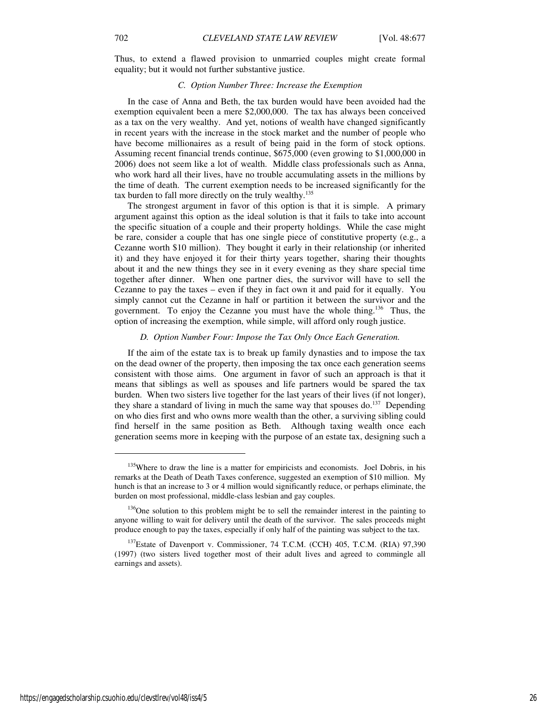Thus, to extend a flawed provision to unmarried couples might create formal equality; but it would not further substantive justice.

#### *C. Option Number Three: Increase the Exemption*

In the case of Anna and Beth, the tax burden would have been avoided had the exemption equivalent been a mere \$2,000,000. The tax has always been conceived as a tax on the very wealthy. And yet, notions of wealth have changed significantly in recent years with the increase in the stock market and the number of people who have become millionaires as a result of being paid in the form of stock options. Assuming recent financial trends continue, \$675,000 (even growing to \$1,000,000 in 2006) does not seem like a lot of wealth. Middle class professionals such as Anna, who work hard all their lives, have no trouble accumulating assets in the millions by the time of death. The current exemption needs to be increased significantly for the tax burden to fall more directly on the truly wealthy.<sup>135</sup>

The strongest argument in favor of this option is that it is simple. A primary argument against this option as the ideal solution is that it fails to take into account the specific situation of a couple and their property holdings. While the case might be rare, consider a couple that has one single piece of constitutive property (e.g., a Cezanne worth \$10 million). They bought it early in their relationship (or inherited it) and they have enjoyed it for their thirty years together, sharing their thoughts about it and the new things they see in it every evening as they share special time together after dinner. When one partner dies, the survivor will have to sell the Cezanne to pay the taxes – even if they in fact own it and paid for it equally. You simply cannot cut the Cezanne in half or partition it between the survivor and the government. To enjoy the Cezanne you must have the whole thing.<sup>136</sup> Thus, the option of increasing the exemption, while simple, will afford only rough justice.

#### *D. Option Number Four: Impose the Tax Only Once Each Generation.*

If the aim of the estate tax is to break up family dynasties and to impose the tax on the dead owner of the property, then imposing the tax once each generation seems consistent with those aims. One argument in favor of such an approach is that it means that siblings as well as spouses and life partners would be spared the tax burden. When two sisters live together for the last years of their lives (if not longer), they share a standard of living in much the same way that spouses do. $137$  Depending on who dies first and who owns more wealth than the other, a surviving sibling could find herself in the same position as Beth. Although taxing wealth once each generation seems more in keeping with the purpose of an estate tax, designing such a

<sup>&</sup>lt;sup>135</sup>Where to draw the line is a matter for empiricists and economists. Joel Dobris, in his remarks at the Death of Death Taxes conference, suggested an exemption of \$10 million. My hunch is that an increase to 3 or 4 million would significantly reduce, or perhaps eliminate, the burden on most professional, middle-class lesbian and gay couples.

<sup>&</sup>lt;sup>136</sup>One solution to this problem might be to sell the remainder interest in the painting to anyone willing to wait for delivery until the death of the survivor. The sales proceeds might produce enough to pay the taxes, especially if only half of the painting was subject to the tax.

<sup>&</sup>lt;sup>137</sup>Estate of Davenport v. Commissioner, 74 T.C.M. (CCH) 405, T.C.M. (RIA) 97,390 (1997) (two sisters lived together most of their adult lives and agreed to commingle all earnings and assets).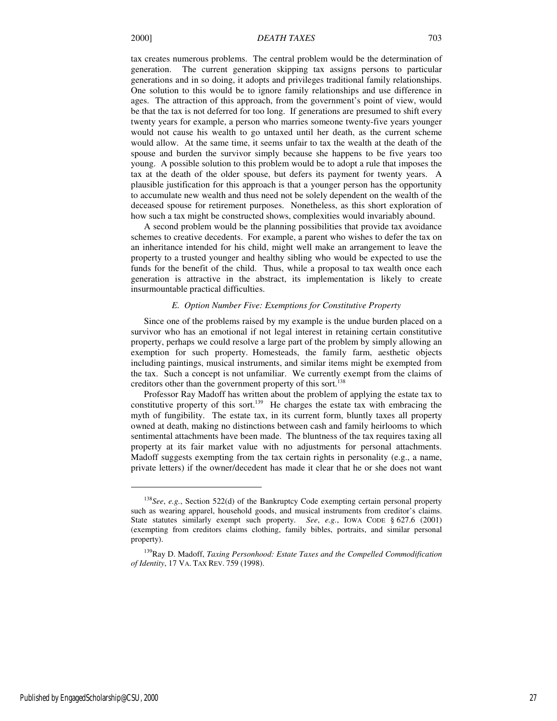tax creates numerous problems. The central problem would be the determination of generation. The current generation skipping tax assigns persons to particular generations and in so doing, it adopts and privileges traditional family relationships. One solution to this would be to ignore family relationships and use difference in ages. The attraction of this approach, from the government's point of view, would be that the tax is not deferred for too long. If generations are presumed to shift every twenty years for example, a person who marries someone twenty-five years younger would not cause his wealth to go untaxed until her death, as the current scheme would allow. At the same time, it seems unfair to tax the wealth at the death of the spouse and burden the survivor simply because she happens to be five years too young. A possible solution to this problem would be to adopt a rule that imposes the tax at the death of the older spouse, but defers its payment for twenty years. A plausible justification for this approach is that a younger person has the opportunity to accumulate new wealth and thus need not be solely dependent on the wealth of the deceased spouse for retirement purposes. Nonetheless, as this short exploration of how such a tax might be constructed shows, complexities would invariably abound.

A second problem would be the planning possibilities that provide tax avoidance schemes to creative decedents. For example, a parent who wishes to defer the tax on an inheritance intended for his child, might well make an arrangement to leave the property to a trusted younger and healthy sibling who would be expected to use the funds for the benefit of the child. Thus, while a proposal to tax wealth once each generation is attractive in the abstract, its implementation is likely to create insurmountable practical difficulties.

#### *E. Option Number Five: Exemptions for Constitutive Property*

Since one of the problems raised by my example is the undue burden placed on a survivor who has an emotional if not legal interest in retaining certain constitutive property, perhaps we could resolve a large part of the problem by simply allowing an exemption for such property. Homesteads, the family farm, aesthetic objects including paintings, musical instruments, and similar items might be exempted from the tax. Such a concept is not unfamiliar. We currently exempt from the claims of creditors other than the government property of this sort.<sup>138</sup>

Professor Ray Madoff has written about the problem of applying the estate tax to constitutive property of this sort.<sup>139</sup> He charges the estate tax with embracing the myth of fungibility. The estate tax, in its current form, bluntly taxes all property owned at death, making no distinctions between cash and family heirlooms to which sentimental attachments have been made. The bluntness of the tax requires taxing all property at its fair market value with no adjustments for personal attachments. Madoff suggests exempting from the tax certain rights in personality (e.g., a name, private letters) if the owner/decedent has made it clear that he or she does not want

<sup>138</sup>*See*, *e.g.*, Section 522(d) of the Bankruptcy Code exempting certain personal property such as wearing apparel, household goods, and musical instruments from creditor's claims. State statutes similarly exempt such property. *See*, *e.g.*, IOWA CODE § 627.6 (2001) (exempting from creditors claims clothing, family bibles, portraits, and similar personal property).

<sup>139</sup>Ray D. Madoff, *Taxing Personhood: Estate Taxes and the Compelled Commodification of Identity*, 17 VA. TAX REV. 759 (1998).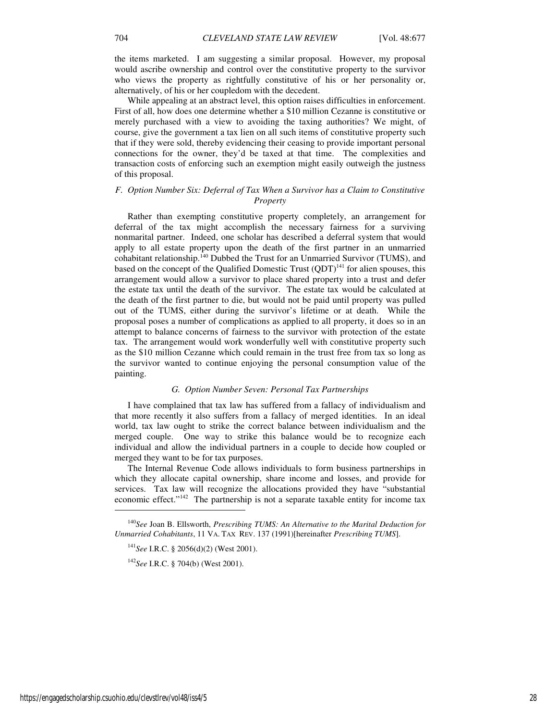the items marketed. I am suggesting a similar proposal. However, my proposal would ascribe ownership and control over the constitutive property to the survivor who views the property as rightfully constitutive of his or her personality or, alternatively, of his or her coupledom with the decedent.

While appealing at an abstract level, this option raises difficulties in enforcement. First of all, how does one determine whether a \$10 million Cezanne is constitutive or merely purchased with a view to avoiding the taxing authorities? We might, of course, give the government a tax lien on all such items of constitutive property such that if they were sold, thereby evidencing their ceasing to provide important personal connections for the owner, they'd be taxed at that time. The complexities and transaction costs of enforcing such an exemption might easily outweigh the justness of this proposal.

### *F. Option Number Six: Deferral of Tax When a Survivor has a Claim to Constitutive Property*

Rather than exempting constitutive property completely, an arrangement for deferral of the tax might accomplish the necessary fairness for a surviving nonmarital partner. Indeed, one scholar has described a deferral system that would apply to all estate property upon the death of the first partner in an unmarried cohabitant relationship.<sup>140</sup> Dubbed the Trust for an Unmarried Survivor (TUMS), and based on the concept of the Qualified Domestic Trust  $(QDT)^{141}$  for alien spouses, this arrangement would allow a survivor to place shared property into a trust and defer the estate tax until the death of the survivor. The estate tax would be calculated at the death of the first partner to die, but would not be paid until property was pulled out of the TUMS, either during the survivor's lifetime or at death. While the proposal poses a number of complications as applied to all property, it does so in an attempt to balance concerns of fairness to the survivor with protection of the estate tax. The arrangement would work wonderfully well with constitutive property such as the \$10 million Cezanne which could remain in the trust free from tax so long as the survivor wanted to continue enjoying the personal consumption value of the painting.

#### *G. Option Number Seven: Personal Tax Partnerships*

I have complained that tax law has suffered from a fallacy of individualism and that more recently it also suffers from a fallacy of merged identities. In an ideal world, tax law ought to strike the correct balance between individualism and the merged couple. One way to strike this balance would be to recognize each individual and allow the individual partners in a couple to decide how coupled or merged they want to be for tax purposes.

The Internal Revenue Code allows individuals to form business partnerships in which they allocate capital ownership, share income and losses, and provide for services. Tax law will recognize the allocations provided they have "substantial economic effect."<sup>142</sup> The partnership is not a separate taxable entity for income tax

<sup>142</sup>*See* I.R.C. § 704(b) (West 2001).

<sup>140</sup>*See* Joan B. Ellsworth, *Prescribing TUMS: An Alternative to the Marital Deduction for Unmarried Cohabitants*, 11 VA. TAX REV. 137 (1991)[hereinafter *Prescribing TUMS*].

<sup>141</sup>*See* I.R.C. § 2056(d)(2) (West 2001).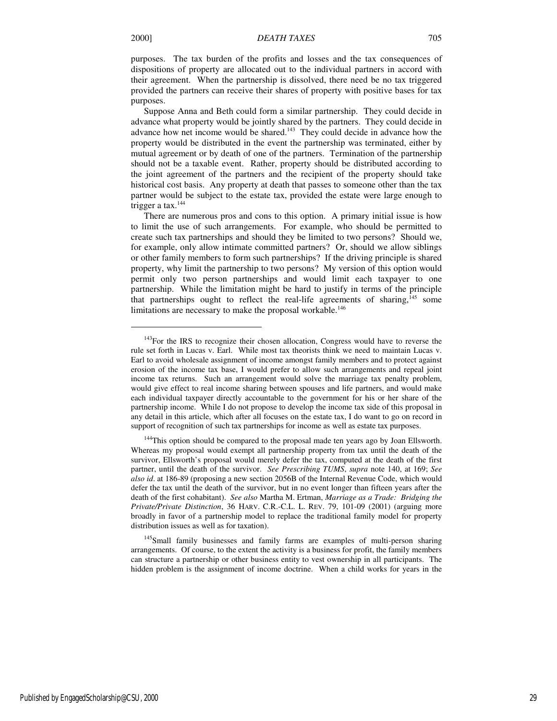#### 2000] *DEATH TAXES* 705

purposes. The tax burden of the profits and losses and the tax consequences of dispositions of property are allocated out to the individual partners in accord with their agreement. When the partnership is dissolved, there need be no tax triggered provided the partners can receive their shares of property with positive bases for tax purposes.

Suppose Anna and Beth could form a similar partnership. They could decide in advance what property would be jointly shared by the partners. They could decide in advance how net income would be shared.<sup>143</sup> They could decide in advance how the property would be distributed in the event the partnership was terminated, either by mutual agreement or by death of one of the partners. Termination of the partnership should not be a taxable event. Rather, property should be distributed according to the joint agreement of the partners and the recipient of the property should take historical cost basis. Any property at death that passes to someone other than the tax partner would be subject to the estate tax, provided the estate were large enough to trigger a tax.<sup>144</sup>

There are numerous pros and cons to this option. A primary initial issue is how to limit the use of such arrangements. For example, who should be permitted to create such tax partnerships and should they be limited to two persons? Should we, for example, only allow intimate committed partners? Or, should we allow siblings or other family members to form such partnerships? If the driving principle is shared property, why limit the partnership to two persons? My version of this option would permit only two person partnerships and would limit each taxpayer to one partnership. While the limitation might be hard to justify in terms of the principle that partnerships ought to reflect the real-life agreements of sharing,<sup>145</sup> some limitations are necessary to make the proposal workable.<sup>146</sup>

j

<sup>&</sup>lt;sup>143</sup>For the IRS to recognize their chosen allocation, Congress would have to reverse the rule set forth in Lucas v. Earl. While most tax theorists think we need to maintain Lucas v. Earl to avoid wholesale assignment of income amongst family members and to protect against erosion of the income tax base, I would prefer to allow such arrangements and repeal joint income tax returns. Such an arrangement would solve the marriage tax penalty problem, would give effect to real income sharing between spouses and life partners, and would make each individual taxpayer directly accountable to the government for his or her share of the partnership income. While I do not propose to develop the income tax side of this proposal in any detail in this article, which after all focuses on the estate tax, I do want to go on record in support of recognition of such tax partnerships for income as well as estate tax purposes.

<sup>&</sup>lt;sup>144</sup>This option should be compared to the proposal made ten years ago by Joan Ellsworth. Whereas my proposal would exempt all partnership property from tax until the death of the survivor, Ellsworth's proposal would merely defer the tax, computed at the death of the first partner, until the death of the survivor. *See Prescribing TUMS*, *supra* note 140, at 169; *See also id*. at 186-89 (proposing a new section 2056B of the Internal Revenue Code, which would defer the tax until the death of the survivor, but in no event longer than fifteen years after the death of the first cohabitant). *See also* Martha M. Ertman, *Marriage as a Trade: Bridging the Private/Private Distinction*, 36 HARV. C.R.-C.L. L. REV. 79, 101-09 (2001) (arguing more broadly in favor of a partnership model to replace the traditional family model for property distribution issues as well as for taxation).

<sup>&</sup>lt;sup>145</sup>Small family businesses and family farms are examples of multi-person sharing arrangements. Of course, to the extent the activity is a business for profit, the family members can structure a partnership or other business entity to vest ownership in all participants. The hidden problem is the assignment of income doctrine. When a child works for years in the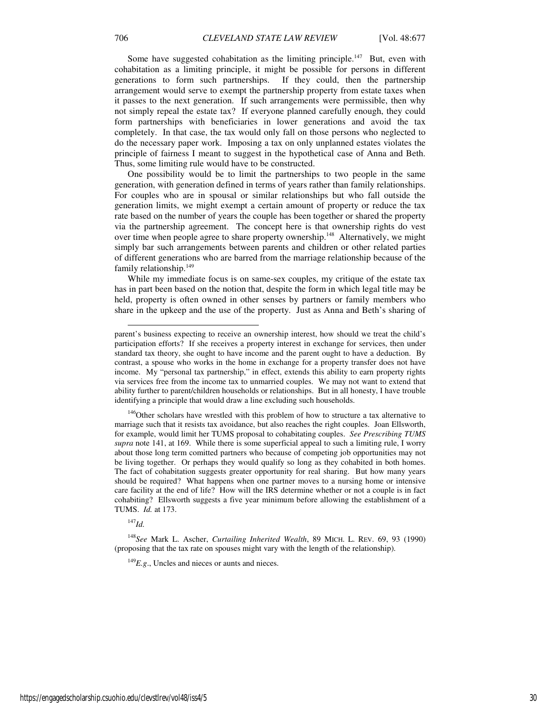Some have suggested cohabitation as the limiting principle.<sup>147</sup> But, even with cohabitation as a limiting principle, it might be possible for persons in different generations to form such partnerships. If they could, then the partnership arrangement would serve to exempt the partnership property from estate taxes when it passes to the next generation. If such arrangements were permissible, then why not simply repeal the estate tax? If everyone planned carefully enough, they could form partnerships with beneficiaries in lower generations and avoid the tax completely. In that case, the tax would only fall on those persons who neglected to do the necessary paper work. Imposing a tax on only unplanned estates violates the principle of fairness I meant to suggest in the hypothetical case of Anna and Beth. Thus, some limiting rule would have to be constructed.

One possibility would be to limit the partnerships to two people in the same generation, with generation defined in terms of years rather than family relationships. For couples who are in spousal or similar relationships but who fall outside the generation limits, we might exempt a certain amount of property or reduce the tax rate based on the number of years the couple has been together or shared the property via the partnership agreement. The concept here is that ownership rights do vest over time when people agree to share property ownership.<sup>148</sup> Alternatively, we might simply bar such arrangements between parents and children or other related parties of different generations who are barred from the marriage relationship because of the family relationship.<sup>149</sup>

While my immediate focus is on same-sex couples, my critique of the estate tax has in part been based on the notion that, despite the form in which legal title may be held, property is often owned in other senses by partners or family members who share in the upkeep and the use of the property. Just as Anna and Beth's sharing of

<sup>146</sup>Other scholars have wrestled with this problem of how to structure a tax alternative to marriage such that it resists tax avoidance, but also reaches the right couples. Joan Ellsworth, for example, would limit her TUMS proposal to cohabitating couples. *See Prescribing TUMS supra* note 141, at 169. While there is some superficial appeal to such a limiting rule, I worry about those long term comitted partners who because of competing job opportunities may not be living together. Or perhaps they would qualify so long as they cohabited in both homes. The fact of cohabitation suggests greater opportunity for real sharing. But how many years should be required? What happens when one partner moves to a nursing home or intensive care facility at the end of life? How will the IRS determine whether or not a couple is in fact cohabiting? Ellsworth suggests a five year minimum before allowing the establishment of a TUMS. *Id.* at 173.

<sup>147</sup>*Id.*

l

<sup>148</sup>*See* Mark L. Ascher, *Curtailing Inherited Wealth*, 89 MICH. L. REV. 69, 93 (1990) (proposing that the tax rate on spouses might vary with the length of the relationship).

 $^{149}E.g.,$  Uncles and nieces or aunts and nieces.

parent's business expecting to receive an ownership interest, how should we treat the child's participation efforts? If she receives a property interest in exchange for services, then under standard tax theory, she ought to have income and the parent ought to have a deduction. By contrast, a spouse who works in the home in exchange for a property transfer does not have income. My "personal tax partnership," in effect, extends this ability to earn property rights via services free from the income tax to unmarried couples. We may not want to extend that ability further to parent/children households or relationships. But in all honesty, I have trouble identifying a principle that would draw a line excluding such households.